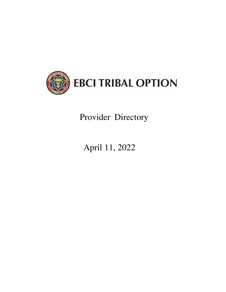

# Provider Directory

# April 11, 2022

 $\label{eq:2.1} \frac{1}{\sqrt{2\pi}}\int_{\mathbb{R}^3}\frac{d\mu}{\sqrt{2\pi}}\left(\frac{d\mu}{\mu}\right)^2\frac{d\mu}{\mu}\left(\frac{d\mu}{\mu}\right)^2\frac{d\mu}{\mu}\left(\frac{d\mu}{\mu}\right)^2\frac{d\mu}{\mu}\left(\frac{d\mu}{\mu}\right)^2.$  $\label{eq:2.1} \frac{1}{\sqrt{2}}\left(\frac{1}{\sqrt{2}}\right)^{2} \left(\frac{1}{\sqrt{2}}\right)^{2} \left(\frac{1}{\sqrt{2}}\right)^{2} \left(\frac{1}{\sqrt{2}}\right)^{2} \left(\frac{1}{\sqrt{2}}\right)^{2} \left(\frac{1}{\sqrt{2}}\right)^{2} \left(\frac{1}{\sqrt{2}}\right)^{2} \left(\frac{1}{\sqrt{2}}\right)^{2} \left(\frac{1}{\sqrt{2}}\right)^{2} \left(\frac{1}{\sqrt{2}}\right)^{2} \left(\frac{1}{\sqrt{2}}\right)^{2} \left(\$  $\label{eq:2.1} \frac{1}{\sqrt{2}}\sum_{i=1}^n\frac{1}{\sqrt{2}}\sum_{i=1}^n\frac{1}{\sqrt{2}}\sum_{i=1}^n\frac{1}{\sqrt{2}}\sum_{i=1}^n\frac{1}{\sqrt{2}}\sum_{i=1}^n\frac{1}{\sqrt{2}}\sum_{i=1}^n\frac{1}{\sqrt{2}}\sum_{i=1}^n\frac{1}{\sqrt{2}}\sum_{i=1}^n\frac{1}{\sqrt{2}}\sum_{i=1}^n\frac{1}{\sqrt{2}}\sum_{i=1}^n\frac{1}{\sqrt{2}}\sum_{i=1}^n\frac$  $\label{eq:2.1} \frac{1}{\sqrt{2}}\left(\frac{1}{\sqrt{2}}\right)^{2} \left(\frac{1}{\sqrt{2}}\right)^{2} \left(\frac{1}{\sqrt{2}}\right)^{2} \left(\frac{1}{\sqrt{2}}\right)^{2} \left(\frac{1}{\sqrt{2}}\right)^{2} \left(\frac{1}{\sqrt{2}}\right)^{2} \left(\frac{1}{\sqrt{2}}\right)^{2} \left(\frac{1}{\sqrt{2}}\right)^{2} \left(\frac{1}{\sqrt{2}}\right)^{2} \left(\frac{1}{\sqrt{2}}\right)^{2} \left(\frac{1}{\sqrt{2}}\right)^{2} \left(\$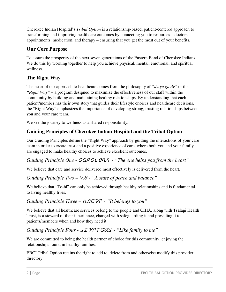Cherokee Indian Hospital's *Tribal Option* is a relationship-based, patient-centered approach to transforming and improving healthcare outcomes by connecting you to resources – doctors, appointments, medication, and therapy – ensuring that you get the most out of your benefits.

# **Our Core Purpose**

To assure the prosperity of the next seven generations of the Eastern Band of Cherokee Indians. We do this by working together to help you achieve physical, mental, emotional, and spiritual wellness.

# **The Right Way**

The heart of our approach to healthcare comes from the philosophy of *"du yu ga dv"* or the *"Right Way"* – a program designed to maximize the effectiveness of our staff within the community by building and maintaining healthy relationships. By understanding that each patient/member has their own story that guides their lifestyle choices and healthcare decisions, the "Right Way" emphasizes the importance of developing strong, trusting relationships between you and your care team.

We see the journey to wellness as a shared responsibility.

# **Guiding Principles of Cherokee Indian Hospital and the Tribal Option**

Our Guiding Principles define the "Right Way" approach by guiding the interactions of your care team in order to create trust and a positive experience of care, where both you and your family are engaged to make healthy choices to achieve excellent outcomes.

# *Guiding Principle One - OGR OL O*<sup> $\nu$ </sup>  $\sigma$ <sup>2</sup> *- "The one helps you from the heart"*

We believe that care and service delivered most effectively is delivered from the heart.

# *Guiding Principle Two –*  $\mathsf{V}\mathsf{P}$  *- "A state of peace and balance"*

We believe that "To-hi" can only be achieved through healthy relationships and is fundamental to living healthy lives.

# *Guiding Principle Three – h* $\beta$ *CVC - "It belongs to you"*

We believe that all healthcare services belong to the people and CIHA, along with Tsalagi Health Trust, is a steward of their inheritance, charged with safeguarding it and providing it to patients/members when and how they need it.

# *Guiding Principle Four -*  $JITV$  $T$  $G \ddot{\omega}$  *- "Like family to me"*

We are committed to being the health partner of choice for this community, enjoying the relationships found in healthy families.

EBCI Tribal Option retains the right to add to, delete from and otherwise modify this provider directory.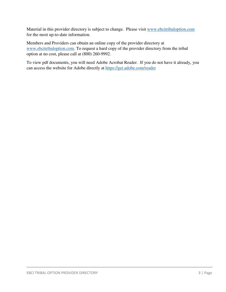Material in this provider directory is subject to change. Please visit [www.ebcitribaloption.com](http://www.ebcitribaloption.com/) for the most up-to-date information.

Members and Providers can obtain an online copy of the provider directory at [www.ebcitribaloption.com.](http://www.ebcitribaloption.com/) To request a hard copy of the provider directory from the tribal option at no cost, please call at (800) 260-9992.

To view pdf documents, you will need Adobe Acrobat Reader. If you do not have it already, you can access the website for Adobe directly at <https://get.adobe.com/reader>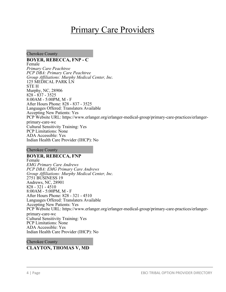# Primary Care Providers

Cherokee County

**BOYER, REBECCA, FNP - C** Female *Primary Care Peachtree PCP DBA: Primary Care Peachtree Group Affiliations: Murphy Medical Center, Inc.* 125 MEDICAL PARK LN STE H Murphy, NC, 28906 828 - 837 - 3525 8:00AM - 5:00PM, M - F After Hours Phone: 828 - 837 - 3525 Languages Offered: Translaters Available Accepting New Patients: Yes PCP Website URL: https://www.erlanger.org/erlanger-medical-group/primary-care-practices/erlangerprimary-care-wc Cultural Sensitivity Training: Yes PCP Limitations: None ADA Accessible: Yes Indian Health Care Provider (IHCP): No

Cherokee County

**BOYER, REBECCA, FNP** Female *EMG Primary Care Andrews PCP DBA: EMG Primary Care Andrews Group Affiliations: Murphy Medical Center, Inc.* 2751 BUSINESS 19 Andrews, NC, 28901 828 - 321 - 4510 8:00AM - 5:00PM, M - F After Hours Phone: 828 - 321 - 4510 Languages Offered: Translaters Available Accepting New Patients: Yes PCP Website URL: https://www.erlanger.org/erlanger-medical-group/primary-care-practices/erlangerprimary-care-wc Cultural Sensitivity Training: Yes PCP Limitations: None ADA Accessible: Yes Indian Health Care Provider (IHCP): No

Cherokee County **CLAYTON, THOMAS V, MD**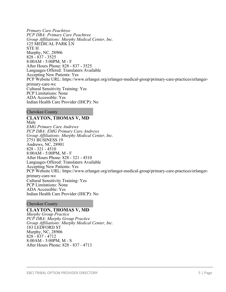*Primary Care Peachtree PCP DBA: Primary Care Peachtree Group Affiliations: Murphy Medical Center, Inc.* 125 MEDICAL PARK LN STE H Murphy, NC, 28906 828 - 837 - 3525 8:00AM - 5:00PM, M - F After Hours Phone: 828 - 837 - 3525 Languages Offered: Translaters Available Accepting New Patients: Yes PCP Website URL: https://www.erlanger.org/erlanger-medical-group/primary-care-practices/erlangerprimary-care-wc Cultural Sensitivity Training: Yes PCP Limitations: None ADA Accessible: Yes Indian Health Care Provider (IHCP): No

Cherokee County

**CLAYTON, THOMAS V, MD** Male *EMG Primary Care Andrews PCP DBA: EMG Primary Care Andrews Group Affiliations: Murphy Medical Center, Inc.* 2751 BUSINESS 19 Andrews, NC, 28901 828 - 321 - 4510 8:00AM - 5:00PM, M - F After Hours Phone: 828 - 321 - 4510 Languages Offered: Translaters Available Accepting New Patients: Yes PCP Website URL: https://www.erlanger.org/erlanger-medical-group/primary-care-practices/erlangerprimary-care-wc Cultural Sensitivity Training: Yes PCP Limitations: None ADA Accessible: Yes Indian Health Care Provider (IHCP): No

Cherokee County

#### **CLAYTON, THOMAS V, MD**

*Murphy Group Practice PCP DBA: Murphy Group Practice Group Affiliations: Murphy Medical Center, Inc.* 183 LEDFORD ST Murphy, NC, 28906 828 - 837 - 4712 8:00AM - 5:00PM, M - S After Hours Phone: 828 - 837 - 4713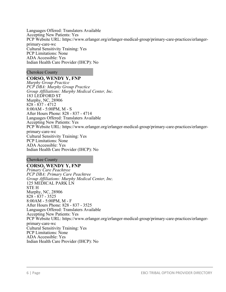Languages Offered: Translaters Available Accepting New Patients: Yes PCP Website URL: https://www.erlanger.org/erlanger-medical-group/primary-care-practices/erlangerprimary-care-wc Cultural Sensitivity Training: Yes PCP Limitations: None ADA Accessible: Yes Indian Health Care Provider (IHCP): No

Cherokee County

**CORSO, WENDY Y, FNP** *Murphy Group Practice PCP DBA: Murphy Group Practice Group Affiliations: Murphy Medical Center, Inc.* 183 LEDFORD ST Murphy, NC, 28906 828 - 837 - 4712 8:00AM - 5:00PM, M - S After Hours Phone: 828 - 837 - 4714 Languages Offered: Translaters Available Accepting New Patients: Yes PCP Website URL: https://www.erlanger.org/erlanger-medical-group/primary-care-practices/erlangerprimary-care-wc Cultural Sensitivity Training: Yes PCP Limitations: None ADA Accessible: Yes Indian Health Care Provider (IHCP): No

Cherokee County

#### **CORSO, WENDY Y, FNP** *Primary Care Peachtree PCP DBA: Primary Care Peachtree Group Affiliations: Murphy Medical Center, Inc.* 125 MEDICAL PARK LN STE H Murphy, NC, 28906 828 - 837 - 3525 8:00AM - 5:00PM, M - F After Hours Phone: 828 - 837 - 3525 Languages Offered: Translaters Available Accepting New Patients: Yes PCP Website URL: https://www.erlanger.org/erlanger-medical-group/primary-care-practices/erlangerprimary-care-wc Cultural Sensitivity Training: Yes PCP Limitations: None ADA Accessible: Yes Indian Health Care Provider (IHCP): No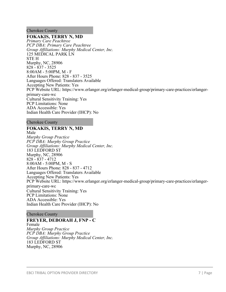#### Cherokee County

#### **FOKAKIS, TERRY N, MD**

*Primary Care Peachtree PCP DBA: Primary Care Peachtree Group Affiliations: Murphy Medical Center, Inc.* 125 MEDICAL PARK LN STE H Murphy, NC, 28906 828 - 837 - 3525 8:00AM - 5:00PM, M - F After Hours Phone: 828 - 837 - 3525 Languages Offered: Translaters Available Accepting New Patients: Yes PCP Website URL: https://www.erlanger.org/erlanger-medical-group/primary-care-practices/erlangerprimary-care-wc Cultural Sensitivity Training: Yes PCP Limitations: None ADA Accessible: Yes Indian Health Care Provider (IHCP): No

#### Cherokee County

#### **FOKAKIS, TERRY N, MD** Male

*Murphy Group Practice PCP DBA: Murphy Group Practice Group Affiliations: Murphy Medical Center, Inc.* 183 LEDFORD ST Murphy, NC, 28906 828 - 837 - 4712 8:00AM - 5:00PM, M - S After Hours Phone: 828 - 837 - 4712 Languages Offered: Translaters Available Accepting New Patients: Yes PCP Website URL: https://www.erlanger.org/erlanger-medical-group/primary-care-practices/erlangerprimary-care-wc Cultural Sensitivity Training: Yes PCP Limitations: None ADA Accessible: Yes Indian Health Care Provider (IHCP): No

#### Cherokee County

#### **FREYER, DEBORAH J, FNP - C**

Female *Murphy Group Practice PCP DBA: Murphy Group Practice Group Affiliations: Murphy Medical Center, Inc.* 183 LEDFORD ST Murphy, NC, 28906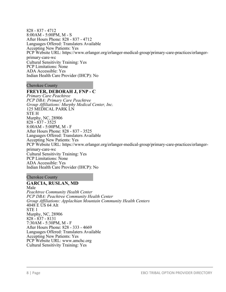828 - 837 - 4712 8:00AM - 5:00PM, M - S After Hours Phone: 828 - 837 - 4712 Languages Offered: Translaters Available Accepting New Patients: Yes PCP Website URL: https://www.erlanger.org/erlanger-medical-group/primary-care-practices/erlangerprimary-care-wc Cultural Sensitivity Training: Yes PCP Limitations: None ADA Accessible: Yes Indian Health Care Provider (IHCP): No

Cherokee County

# **FREYER, DEBORAH J, FNP - C**

*Primary Care Peachtree PCP DBA: Primary Care Peachtree Group Affiliations: Murphy Medical Center, Inc.* 125 MEDICAL PARK LN STE H Murphy, NC, 28906 828 - 837 - 3525 8:00AM - 5:00PM, M - F After Hours Phone: 828 - 837 - 3525 Languages Offered: Translaters Available Accepting New Patients: Yes PCP Website URL: https://www.erlanger.org/erlanger-medical-group/primary-care-practices/erlangerprimary-care-wc Cultural Sensitivity Training: Yes PCP Limitations: None ADA Accessible: Yes Indian Health Care Provider (IHCP): No

#### Cherokee County

# **GARCIA, RUSLAN, MD**

Male *Peachtree Community Health Center PCP DBA: Peachtree Community Health Center Group Affiliations: Applachian Mountain Community Health Centers* 4048 E US 64 Alt STE 1 Murphy, NC, 28906 828 - 837 - 8131 7:30AM - 5:30PM, M - F After Hours Phone: 828 - 333 - 4669 Languages Offered: Translaters Available Accepting New Patients: Yes PCP Website URL: www.amchc.org Cultural Sensitivity Training: Yes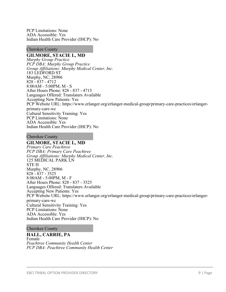PCP Limitations: None ADA Accessible: Yes Indian Health Care Provider (IHCP): No

#### Cherokee County

#### **GILMORE, STACIE L, MD**

*Murphy Group Practice PCP DBA: Murphy Group Practice Group Affiliations: Murphy Medical Center, Inc.* 183 LEDFORD ST Murphy, NC, 28906 828 - 837 - 4712 8:00AM - 5:00PM, M - S After Hours Phone: 828 - 837 - 4715 Languages Offered: Translaters Available Accepting New Patients: Yes PCP Website URL: https://www.erlanger.org/erlanger-medical-group/primary-care-practices/erlangerprimary-care-wc Cultural Sensitivity Training: Yes PCP Limitations: None ADA Accessible: Yes Indian Health Care Provider (IHCP): No

Cherokee County

### **GILMORE, STACIE L, MD**

*Primary Care Peachtree PCP DBA: Primary Care Peachtree Group Affiliations: Murphy Medical Center, Inc.* 125 MEDICAL PARK LN STE H Murphy, NC, 28906 828 - 837 - 3525 8:00AM - 5:00PM, M - F After Hours Phone: 828 - 837 - 3525 Languages Offered: Translaters Available Accepting New Patients: Yes PCP Website URL: https://www.erlanger.org/erlanger-medical-group/primary-care-practices/erlangerprimary-care-wc Cultural Sensitivity Training: Yes PCP Limitations: None ADA Accessible: Yes Indian Health Care Provider (IHCP): No

#### Cherokee County

#### **HALL, CARRIE, PA** Female *Peachtree Community Health Center PCP DBA: Peachtree Community Health Center*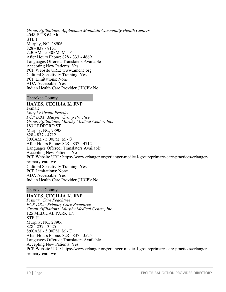*Group Affiliations: Applachian Mountain Community Health Centers* 4048 E US 64 Alt STE 1 Murphy, NC, 28906 828 - 837 - 8131 7:30AM - 5:30PM, M - F After Hours Phone: 828 - 333 - 4669 Languages Offered: Translaters Available Accepting New Patients: Yes PCP Website URL: www.amchc.org Cultural Sensitivity Training: Yes PCP Limitations: None ADA Accessible: Yes Indian Health Care Provider (IHCP): No

#### Cherokee County

# **HAYES, CECILIA K, FNP**

Female *Murphy Group Practice PCP DBA: Murphy Group Practice Group Affiliations: Murphy Medical Center, Inc.* 183 LEDFORD ST Murphy, NC, 28906 828 - 837 - 4712 8:00AM - 5:00PM, M - S After Hours Phone: 828 - 837 - 4712 Languages Offered: Translaters Available Accepting New Patients: Yes PCP Website URL: https://www.erlanger.org/erlanger-medical-group/primary-care-practices/erlangerprimary-care-wc Cultural Sensitivity Training: Yes PCP Limitations: None ADA Accessible: Yes Indian Health Care Provider (IHCP): No

#### Cherokee County

#### **HAYES, CECILIA K, FNP**

*Primary Care Peachtree PCP DBA: Primary Care Peachtree Group Affiliations: Murphy Medical Center, Inc.* 125 MEDICAL PARK LN STE H Murphy, NC, 28906 828 - 837 - 3525 8:00AM - 5:00PM, M - F After Hours Phone: 828 - 837 - 3525 Languages Offered: Translaters Available Accepting New Patients: Yes PCP Website URL: https://www.erlanger.org/erlanger-medical-group/primary-care-practices/erlangerprimary-care-wc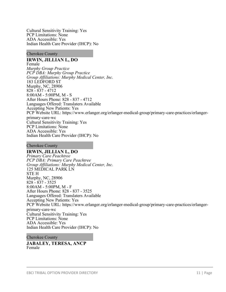Cultural Sensitivity Training: Yes PCP Limitations: None ADA Accessible: Yes Indian Health Care Provider (IHCP): No

Cherokee County

**IRWIN, JILLIAN L, DO** Female *Murphy Group Practice PCP DBA: Murphy Group Practice Group Affiliations: Murphy Medical Center, Inc.* 183 LEDFORD ST Murphy, NC, 28906 828 - 837 - 4712 8:00AM - 5:00PM, M - S After Hours Phone: 828 - 837 - 4712 Languages Offered: Translaters Available Accepting New Patients: Yes PCP Website URL: https://www.erlanger.org/erlanger-medical-group/primary-care-practices/erlangerprimary-care-wc Cultural Sensitivity Training: Yes PCP Limitations: None ADA Accessible: Yes Indian Health Care Provider (IHCP): No

Cherokee County

**IRWIN, JILLIAN L, DO** *Primary Care Peachtree PCP DBA: Primary Care Peachtree Group Affiliations: Murphy Medical Center, Inc.* 125 MEDICAL PARK LN STE H Murphy, NC, 28906 828 - 837 - 3525 8:00AM - 5:00PM, M - F After Hours Phone: 828 - 837 - 3525 Languages Offered: Translaters Available Accepting New Patients: Yes PCP Website URL: https://www.erlanger.org/erlanger-medical-group/primary-care-practices/erlangerprimary-care-wc Cultural Sensitivity Training: Yes PCP Limitations: None ADA Accessible: Yes Indian Health Care Provider (IHCP): No

Cherokee County **JABALEY, TERESA, ANCP** Female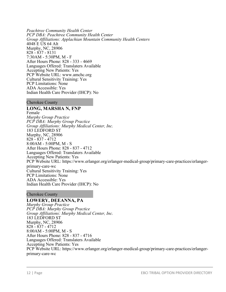*Peachtree Community Health Center PCP DBA: Peachtree Community Health Center Group Affiliations: Applachian Mountain Community Health Centers* 4048 E US 64 Alt Murphy, NC, 28906 828 - 837 - 8131 7:30AM - 5:30PM, M - F After Hours Phone: 828 - 333 - 4669 Languages Offered: Translaters Available Accepting New Patients: Yes PCP Website URL: www.amchc.org Cultural Sensitivity Training: Yes PCP Limitations: None ADA Accessible: Yes Indian Health Care Provider (IHCP): No

Cherokee County

**LONG, MARSHA N, FNP** Female *Murphy Group Practice PCP DBA: Murphy Group Practice Group Affiliations: Murphy Medical Center, Inc.* 183 LEDFORD ST Murphy, NC, 28906 828 - 837 - 4712 8:00AM - 5:00PM, M - S After Hours Phone: 828 - 837 - 4712 Languages Offered: Translaters Available Accepting New Patients: Yes PCP Website URL: https://www.erlanger.org/erlanger-medical-group/primary-care-practices/erlangerprimary-care-wc Cultural Sensitivity Training: Yes PCP Limitations: None ADA Accessible: Yes Indian Health Care Provider (IHCP): No

# Cherokee County

**LOWERY, DEEANNA, PA** *Murphy Group Practice PCP DBA: Murphy Group Practice Group Affiliations: Murphy Medical Center, Inc.* 183 LEDFORD ST Murphy, NC, 28906 828 - 837 - 4712 8:00AM - 5:00PM, M - S After Hours Phone: 828 - 837 - 4716 Languages Offered: Translaters Available Accepting New Patients: Yes PCP Website URL: https://www.erlanger.org/erlanger-medical-group/primary-care-practices/erlangerprimary-care-wc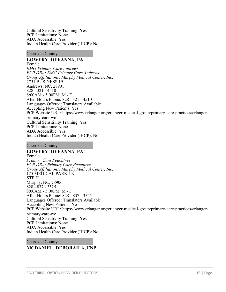Cultural Sensitivity Training: Yes PCP Limitations: None ADA Accessible: Yes Indian Health Care Provider (IHCP): No

Cherokee County

**LOWERY, DEEANNA, PA** Female *EMG Primary Care Andrews PCP DBA: EMG Primary Care Andrews Group Affiliations: Murphy Medical Center, Inc.* 2751 BUSINESS 19 Andrews, NC, 28901 828 - 321 - 4510 8:00AM - 5:00PM, M - F After Hours Phone: 828 - 321 - 4510 Languages Offered: Translaters Available Accepting New Patients: Yes PCP Website URL: https://www.erlanger.org/erlanger-medical-group/primary-care-practices/erlangerprimary-care-wc Cultural Sensitivity Training: Yes PCP Limitations: None ADA Accessible: Yes Indian Health Care Provider (IHCP): No

Cherokee County

**LOWERY, DEEANNA, PA**

Female *Primary Care Peachtree PCP DBA: Primary Care Peachtree Group Affiliations: Murphy Medical Center, Inc.* 125 MEDICAL PARK LN STE H Murphy, NC, 28906 828 - 837 - 3525 8:00AM - 5:00PM, M - F After Hours Phone: 828 - 837 - 3525 Languages Offered: Translaters Available Accepting New Patients: Yes PCP Website URL: https://www.erlanger.org/erlanger-medical-group/primary-care-practices/erlangerprimary-care-wc Cultural Sensitivity Training: Yes PCP Limitations: None ADA Accessible: Yes Indian Health Care Provider (IHCP): No

Cherokee County **MCDANIEL, DEBORAH A, FNP**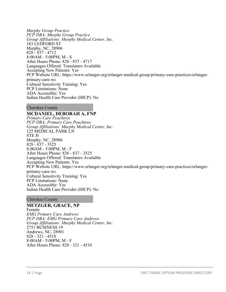*Murphy Group Practice PCP DBA: Murphy Group Practice Group Affiliations: Murphy Medical Center, Inc.* 183 LEDFORD ST Murphy, NC, 28906 828 - 837 - 4712 8:00AM - 5:00PM, M - S After Hours Phone: 828 - 837 - 4717 Languages Offered: Translaters Available Accepting New Patients: Yes PCP Website URL: https://www.erlanger.org/erlanger-medical-group/primary-care-practices/erlangerprimary-care-wc Cultural Sensitivity Training: Yes PCP Limitations: None ADA Accessible: Yes Indian Health Care Provider (IHCP): No

Cherokee County

### **MCDANIEL, DEBORAH A, FNP**

*Primary Care Peachtree PCP DBA: Primary Care Peachtree Group Affiliations: Murphy Medical Center, Inc.* 125 MEDICAL PARK LN STE H Murphy, NC, 28906 828 - 837 - 3525 8:00AM - 5:00PM, M - F After Hours Phone: 828 - 837 - 3525 Languages Offered: Translaters Available Accepting New Patients: Yes PCP Website URL: https://www.erlanger.org/erlanger-medical-group/primary-care-practices/erlangerprimary-care-wc Cultural Sensitivity Training: Yes PCP Limitations: None ADA Accessible: Yes Indian Health Care Provider (IHCP): No

Cherokee County

**METZGER, GRACE, NP** Female *EMG Primary Care Andrews PCP DBA: EMG Primary Care Andrews Group Affiliations: Murphy Medical Center, Inc.* 2751 BUSINESS 19 Andrews, NC, 28901 828 - 321 - 4510 8:00AM - 5:00PM, M - F After Hours Phone: 828 - 321 - 4510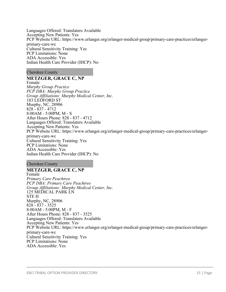Languages Offered: Translaters Available Accepting New Patients: Yes PCP Website URL: https://www.erlanger.org/erlanger-medical-group/primary-care-practices/erlangerprimary-care-wc Cultural Sensitivity Training: Yes PCP Limitations: None ADA Accessible: Yes Indian Health Care Provider (IHCP): No

#### Cherokee County

#### **METZGER, GRACE C, NP**

Female *Murphy Group Practice PCP DBA: Murphy Group Practice Group Affiliations: Murphy Medical Center, Inc.* 183 LEDFORD ST Murphy, NC, 28906 828 - 837 - 4712 8:00AM - 5:00PM, M - S After Hours Phone: 828 - 837 - 4712 Languages Offered: Translaters Available Accepting New Patients: Yes PCP Website URL: https://www.erlanger.org/erlanger-medical-group/primary-care-practices/erlangerprimary-care-wc Cultural Sensitivity Training: Yes PCP Limitations: None ADA Accessible: Yes Indian Health Care Provider (IHCP): No

Cherokee County

### **METZGER, GRACE C, NP**

Female *Primary Care Peachtree PCP DBA: Primary Care Peachtree Group Affiliations: Murphy Medical Center, Inc.* 125 MEDICAL PARK LN STE H Murphy, NC, 28906 828 - 837 - 3525 8:00AM - 5:00PM, M - F After Hours Phone: 828 - 837 - 3525 Languages Offered: Translaters Available Accepting New Patients: Yes PCP Website URL: https://www.erlanger.org/erlanger-medical-group/primary-care-practices/erlangerprimary-care-wc Cultural Sensitivity Training: Yes PCP Limitations: None ADA Accessible: Yes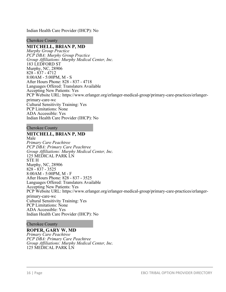Indian Health Care Provider (IHCP): No

Cherokee County

#### **MITCHELL, BRIAN P, MD**

*Murphy Group Practice PCP DBA: Murphy Group Practice Group Affiliations: Murphy Medical Center, Inc.* 183 LEDFORD ST Murphy, NC, 28906 828 - 837 - 4712 8:00AM - 5:00PM, M - S After Hours Phone: 828 - 837 - 4718 Languages Offered: Translaters Available Accepting New Patients: Yes PCP Website URL: https://www.erlanger.org/erlanger-medical-group/primary-care-practices/erlangerprimary-care-wc Cultural Sensitivity Training: Yes PCP Limitations: None ADA Accessible: Yes Indian Health Care Provider (IHCP): No

#### Cherokee County

# **MITCHELL, BRIAN P, MD**

Male *Primary Care Peachtree PCP DBA: Primary Care Peachtree Group Affiliations: Murphy Medical Center, Inc.* 125 MEDICAL PARK LN STE H Murphy, NC, 28906 828 - 837 - 3525 8:00AM - 5:00PM, M - F After Hours Phone: 828 - 837 - 3525 Languages Offered: Translaters Available Accepting New Patients: Yes PCP Website URL: https://www.erlanger.org/erlanger-medical-group/primary-care-practices/erlangerprimary-care-wc Cultural Sensitivity Training: Yes PCP Limitations: None ADA Accessible: Yes Indian Health Care Provider (IHCP): No

#### Cherokee County

**ROPER, GARY W, MD** *Primary Care Peachtree PCP DBA: Primary Care Peachtree Group Affiliations: Murphy Medical Center, Inc.* 125 MEDICAL PARK LN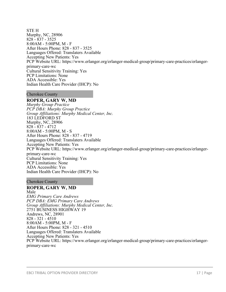#### STE H Murphy, NC, 28906 828 - 837 - 3525 8:00AM - 5:00PM, M - F After Hours Phone: 828 - 837 - 3525 Languages Offered: Translaters Available Accepting New Patients: Yes PCP Website URL: https://www.erlanger.org/erlanger-medical-group/primary-care-practices/erlangerprimary-care-wc Cultural Sensitivity Training: Yes PCP Limitations: None ADA Accessible: Yes Indian Health Care Provider (IHCP): No

Cherokee County

#### **ROPER, GARY W, MD**

*Murphy Group Practice PCP DBA: Murphy Group Practice Group Affiliations: Murphy Medical Center, Inc.* 183 LEDFORD ST Murphy, NC, 28906 828 - 837 - 4712 8:00AM - 5:00PM, M - S After Hours Phone: 828 - 837 - 4719 Languages Offered: Translaters Available Accepting New Patients: Yes PCP Website URL: https://www.erlanger.org/erlanger-medical-group/primary-care-practices/erlangerprimary-care-wc Cultural Sensitivity Training: Yes PCP Limitations: None ADA Accessible: Yes Indian Health Care Provider (IHCP): No

#### Cherokee County

# **ROPER, GARY W, MD**

Male *EMG Primary Care Andrews PCP DBA: EMG Primary Care Andrews Group Affiliations: Murphy Medical Center, Inc.* 2751 BUSINESS HIGHWAY 19 Andrews, NC, 28901 828 - 321 - 4510 8:00AM - 5:00PM, M - F After Hours Phone: 828 - 321 - 4510 Languages Offered: Translaters Available Accepting New Patients: Yes PCP Website URL: https://www.erlanger.org/erlanger-medical-group/primary-care-practices/erlangerprimary-care-wc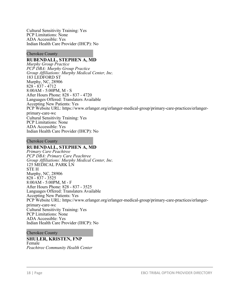Cultural Sensitivity Training: Yes PCP Limitations: None ADA Accessible: Yes Indian Health Care Provider (IHCP): No

Cherokee County

#### **RUBENDALL, STEPHEN A, MD**

*Murphy Group Practice PCP DBA: Murphy Group Practice Group Affiliations: Murphy Medical Center, Inc.* 183 LEDFORD ST Murphy, NC, 28906 828 - 837 - 4712 8:00AM - 5:00PM, M - S After Hours Phone: 828 - 837 - 4720 Languages Offered: Translaters Available Accepting New Patients: Yes PCP Website URL: https://www.erlanger.org/erlanger-medical-group/primary-care-practices/erlangerprimary-care-wc Cultural Sensitivity Training: Yes PCP Limitations: None ADA Accessible: Yes Indian Health Care Provider (IHCP): No

Cherokee County

#### **RUBENDALL, STEPHEN A, MD**

*Primary Care Peachtree PCP DBA: Primary Care Peachtree Group Affiliations: Murphy Medical Center, Inc.* 125 MEDICAL PARK LN STE H Murphy, NC, 28906 828 - 837 - 3525 8:00AM - 5:00PM, M - F After Hours Phone: 828 - 837 - 3525 Languages Offered: Translaters Available Accepting New Patients: Yes PCP Website URL: https://www.erlanger.org/erlanger-medical-group/primary-care-practices/erlangerprimary-care-wc Cultural Sensitivity Training: Yes PCP Limitations: None ADA Accessible: Yes Indian Health Care Provider (IHCP): No

#### Cherokee County

#### **SHULER, KRISTEN, FNP** Female *Peachtree Community Health Center*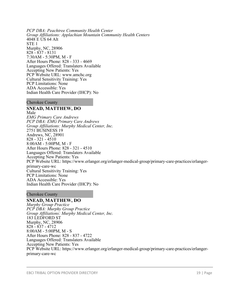*PCP DBA: Peachtree Community Health Center Group Affiliations: Applachian Mountain Community Health Centers* 4048 E US 64 Alt STE 1 Murphy, NC, 28906 828 - 837 - 8131 7:30AM - 5:30PM, M - F After Hours Phone: 828 - 333 - 4669 Languages Offered: Translaters Available Accepting New Patients: Yes PCP Website URL: www.amchc.org Cultural Sensitivity Training: Yes PCP Limitations: None ADA Accessible: Yes Indian Health Care Provider (IHCP): No

Cherokee County

**SNEAD, MATTHEW, DO**

Male *EMG Primary Care Andrews PCP DBA: EMG Primary Care Andrews Group Affiliations: Murphy Medical Center, Inc.* 2751 BUSINESS 19 Andrews, NC, 28901 828 - 321 - 4510 8:00AM - 5:00PM, M - F After Hours Phone: 828 - 321 - 4510 Languages Offered: Translaters Available Accepting New Patients: Yes PCP Website URL: https://www.erlanger.org/erlanger-medical-group/primary-care-practices/erlangerprimary-care-wc Cultural Sensitivity Training: Yes PCP Limitations: None ADA Accessible: Yes Indian Health Care Provider (IHCP): No

Cherokee County

#### **SNEAD, MATTHEW, DO**

*Murphy Group Practice PCP DBA: Murphy Group Practice Group Affiliations: Murphy Medical Center, Inc.* 183 LEDFORD ST Murphy, NC, 28906 828 - 837 - 4712 8:00AM - 5:00PM, M - S After Hours Phone: 828 - 837 - 4722 Languages Offered: Translaters Available Accepting New Patients: Yes PCP Website URL: https://www.erlanger.org/erlanger-medical-group/primary-care-practices/erlangerprimary-care-wc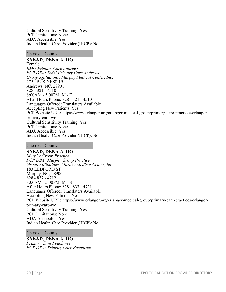Cultural Sensitivity Training: Yes PCP Limitations: None ADA Accessible: Yes Indian Health Care Provider (IHCP): No

Cherokee County

**SNEAD, DENA A, DO** Female *EMG Primary Care Andrews PCP DBA: EMG Primary Care Andrews Group Affiliations: Murphy Medical Center, Inc.* 2751 BUSINESS 19 Andrews, NC, 28901 828 - 321 - 4510 8:00AM - 5:00PM, M - F After Hours Phone: 828 - 321 - 4510 Languages Offered: Translaters Available Accepting New Patients: Yes PCP Website URL: https://www.erlanger.org/erlanger-medical-group/primary-care-practices/erlangerprimary-care-wc Cultural Sensitivity Training: Yes PCP Limitations: None ADA Accessible: Yes Indian Health Care Provider (IHCP): No

Cherokee County

**SNEAD, DENA A, DO** *Murphy Group Practice PCP DBA: Murphy Group Practice Group Affiliations: Murphy Medical Center, Inc.* 183 LEDFORD ST Murphy, NC, 28906 828 - 837 - 4712 8:00AM - 5:00PM, M - S After Hours Phone: 828 - 837 - 4721 Languages Offered: Translaters Available Accepting New Patients: Yes PCP Website URL: https://www.erlanger.org/erlanger-medical-group/primary-care-practices/erlangerprimary-care-wc Cultural Sensitivity Training: Yes PCP Limitations: None ADA Accessible: Yes Indian Health Care Provider (IHCP): No

Cherokee County

**SNEAD, DENA A, DO** *Primary Care Peachtree PCP DBA: Primary Care Peachtree*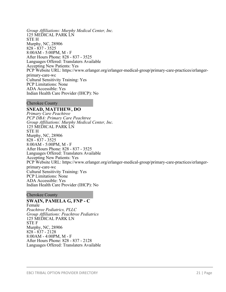*Group Affiliations: Murphy Medical Center, Inc.* 125 MEDICAL PARK LN STE H Murphy, NC, 28906 828 - 837 - 3525 8:00AM - 5:00PM, M - F After Hours Phone: 828 - 837 - 3525 Languages Offered: Translaters Available Accepting New Patients: Yes PCP Website URL: https://www.erlanger.org/erlanger-medical-group/primary-care-practices/erlangerprimary-care-wc Cultural Sensitivity Training: Yes PCP Limitations: None ADA Accessible: Yes Indian Health Care Provider (IHCP): No

Cherokee County

**SNEAD, MATTHEW, DO**

*Primary Care Peachtree PCP DBA: Primary Care Peachtree Group Affiliations: Murphy Medical Center, Inc.* 125 MEDICAL PARK LN STE H Murphy, NC, 28906 828 - 837 - 3525 8:00AM - 5:00PM, M - F After Hours Phone: 828 - 837 - 3525 Languages Offered: Translaters Available Accepting New Patients: Yes PCP Website URL: https://www.erlanger.org/erlanger-medical-group/primary-care-practices/erlangerprimary-care-wc Cultural Sensitivity Training: Yes PCP Limitations: None ADA Accessible: Yes Indian Health Care Provider (IHCP): No

Cherokee County

#### **SWAIN, PAMELA G, FNP - C**

Female *Peachtree Pediatrics, PLLC Group Affiliations: Peachtree Pediatrics* 125 MEDICAL PARK LN STE F Murphy, NC, 28906 828 - 837 - 2128 8:00AM - 4:00PM, M - F After Hours Phone: 828 - 837 - 2128 Languages Offered: Translaters Available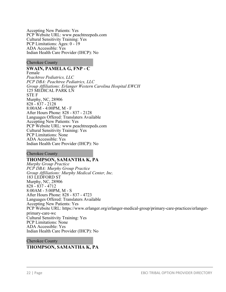Accepting New Patients: Yes PCP Website URL: www.peachtreepeds.com Cultural Sensitivity Training: Yes PCP Limitations: Ages: 0 - 19 ADA Accessible: Yes Indian Health Care Provider (IHCP): No

Cherokee County

### **SWAIN, PAMELA G, FNP - C**

Female *Peachtree Pediatrics, LLC PCP DBA: Peachtree Pediatrics, LLC Group Affiliations: Erlanger Western Carolina Hospital EWCH* 125 MEDICAL PARK LN STE F Murphy, NC, 28906 828 - 837 - 2128 8:00AM - 4:00PM, M - F After Hours Phone: 828 - 837 - 2128 Languages Offered: Translaters Available Accepting New Patients: Yes PCP Website URL: www.peachtreepeds.com Cultural Sensitivity Training: Yes PCP Limitations: None ADA Accessible: Yes Indian Health Care Provider (IHCP): No

Cherokee County

#### **THOMPSON, SAMANTHA K, PA**

*Murphy Group Practice PCP DBA: Murphy Group Practice Group Affiliations: Murphy Medical Center, Inc.* 183 LEDFORD ST Murphy, NC, 28906 828 - 837 - 4712 8:00AM - 5:00PM, M - S After Hours Phone: 828 - 837 - 4723 Languages Offered: Translaters Available Accepting New Patients: Yes PCP Website URL: https://www.erlanger.org/erlanger-medical-group/primary-care-practices/erlangerprimary-care-wc Cultural Sensitivity Training: Yes PCP Limitations: None ADA Accessible: Yes Indian Health Care Provider (IHCP): No

#### Cherokee County

#### **THOMPSON, SAMANTHA K, PA**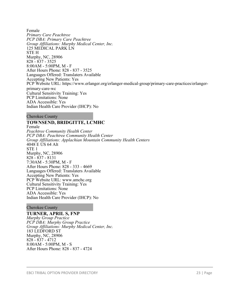Female *Primary Care Peachtree PCP DBA: Primary Care Peachtree Group Affiliations: Murphy Medical Center, Inc.* 125 MEDICAL PARK LN STE H Murphy, NC, 28906 828 - 837 - 3525 8:00AM - 5:00PM, M - F After Hours Phone: 828 - 837 - 3525 Languages Offered: Translaters Available Accepting New Patients: Yes PCP Website URL: https://www.erlanger.org/erlanger-medical-group/primary-care-practices/erlangerprimary-care-wc Cultural Sensitivity Training: Yes PCP Limitations: None ADA Accessible: Yes Indian Health Care Provider (IHCP): No

Cherokee County

# **TOWNSEND, BRIDGITTE, LCMHC**

Female *Peachtree Community Health Center PCP DBA: Peachtree Community Health Center Group Affiliations: Applachian Mountain Community Health Centers* 4048 E US 64 Alt STE 1 Murphy, NC, 28906 828 - 837 - 8131 7:30AM - 5:30PM, M - F After Hours Phone: 828 - 333 - 4669 Languages Offered: Translaters Available Accepting New Patients: Yes PCP Website URL: www.amchc.org Cultural Sensitivity Training: Yes PCP Limitations: None ADA Accessible: Yes Indian Health Care Provider (IHCP): No

#### Cherokee County

#### **TURNER, APRIL S, FNP**

*Murphy Group Practice PCP DBA: Murphy Group Practice Group Affiliations: Murphy Medical Center, Inc.* 183 LEDFORD ST Murphy, NC, 28906 828 - 837 - 4712 8:00AM - 5:00PM, M - S After Hours Phone: 828 - 837 - 4724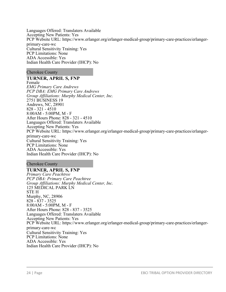Languages Offered: Translaters Available Accepting New Patients: Yes PCP Website URL: https://www.erlanger.org/erlanger-medical-group/primary-care-practices/erlangerprimary-care-wc Cultural Sensitivity Training: Yes PCP Limitations: None ADA Accessible: Yes Indian Health Care Provider (IHCP): No

#### Cherokee County

### **TURNER, APRIL S, FNP**

Female *EMG Primary Care Andrews PCP DBA: EMG Primary Care Andrews Group Affiliations: Murphy Medical Center, Inc.* 2751 BUSINESS 19 Andrews, NC, 28901 828 - 321 - 4510 8:00AM - 5:00PM, M - F After Hours Phone: 828 - 321 - 4510 Languages Offered: Translaters Available Accepting New Patients: Yes PCP Website URL: https://www.erlanger.org/erlanger-medical-group/primary-care-practices/erlangerprimary-care-wc Cultural Sensitivity Training: Yes PCP Limitations: None ADA Accessible: Yes Indian Health Care Provider (IHCP): No

Cherokee County

**TURNER, APRIL S, FNP** *Primary Care Peachtree PCP DBA: Primary Care Peachtree Group Affiliations: Murphy Medical Center, Inc.* 125 MEDICAL PARK LN STE H Murphy, NC, 28906 828 - 837 - 3525 8:00AM - 5:00PM, M - F After Hours Phone: 828 - 837 - 3525 Languages Offered: Translaters Available Accepting New Patients: Yes PCP Website URL: https://www.erlanger.org/erlanger-medical-group/primary-care-practices/erlangerprimary-care-wc Cultural Sensitivity Training: Yes PCP Limitations: None ADA Accessible: Yes Indian Health Care Provider (IHCP): No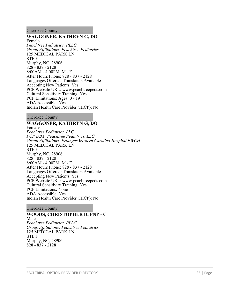#### Cherokee County

#### **WAGGONER, KATHRYN G, DO**

Female *Peachtree Pediatrics, PLLC Group Affiliations: Peachtree Pediatrics* 125 MEDICAL PARK LN STE F Murphy, NC, 28906 828 - 837 - 2128 8:00AM - 4:00PM, M - F After Hours Phone: 828 - 837 - 2128 Languages Offered: Translaters Available Accepting New Patients: Yes PCP Website URL: www.peachtreepeds.com Cultural Sensitivity Training: Yes PCP Limitations: Ages: 0 - 19 ADA Accessible: Yes Indian Health Care Provider (IHCP): No

Cherokee County

# **WAGGONER, KATHRYN G, DO**

Female *Peachtree Pediatrics, LLC PCP DBA: Peachtree Pediatrics, LLC Group Affiliations: Erlanger Western Carolina Hospital EWCH* 125 MEDICAL PARK LN STE F Murphy, NC, 28906 828 - 837 - 2128 8:00AM - 4:00PM, M - F After Hours Phone: 828 - 837 - 2128 Languages Offered: Translaters Available Accepting New Patients: Yes PCP Website URL: www.peachtreepeds.com Cultural Sensitivity Training: Yes PCP Limitations: None ADA Accessible: Yes Indian Health Care Provider (IHCP): No

Cherokee County

# **WOODS, CHRISTOPHER D, FNP - C**

Male *Peachtree Pediatrics, PLLC Group Affiliations: Peachtree Pediatrics* 125 MEDICAL PARK LN STE F Murphy, NC, 28906 828 - 837 - 2128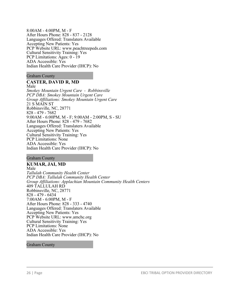8:00AM - 4:00PM, M - F After Hours Phone: 828 - 837 - 2128 Languages Offered: Translaters Available Accepting New Patients: Yes PCP Website URL: www.peachtreepeds.com Cultural Sensitivity Training: Yes PCP Limitations: Ages: 0 - 19 ADA Accessible: Yes Indian Health Care Provider (IHCP): No

#### Graham County

#### **CASTER, DAVID R, MD**

Male *Smokey Mountain Urgent Care - Robbinsville PCP DBA: Smokey Mountain Urgent Care Group Affiliations: Smokey Mountain Urgent Care* 21 S MAIN ST Robbinsville, NC, 28771 828 - 479 - 7682 9:00AM - 6:00PM, M - F; 9:00AM - 2:00PM, S - SU After Hours Phone: 828 - 479 - 7682 Languages Offered: Translaters Available Accepting New Patients: Yes Cultural Sensitivity Training: Yes PCP Limitations: None ADA Accessible: Yes Indian Health Care Provider (IHCP): No

#### Graham County

**KUMAR, JAI, MD** Male *Tallulah Community Health Center PCP DBA: Tallulah Community Health Center Group Affiliations: Applachian Mountain Community Health Centers* 409 TALLULAH RD Robbinsville, NC, 28771 828 - 479 - 6434 7:00AM - 6:00PM, M - F After Hours Phone: 828 - 333 - 4740 Languages Offered: Translaters Available Accepting New Patients: Yes PCP Website URL: www.amchc.org Cultural Sensitivity Training: Yes PCP Limitations: None ADA Accessible: Yes Indian Health Care Provider (IHCP): No

#### Graham County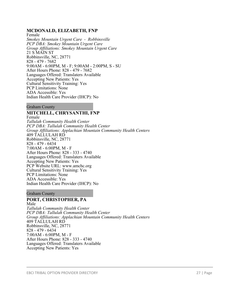# **MCDONALD, ELIZABETH, FNP**

Female *Smokey Mountain Urgent Care - Robbinsville PCP DBA: Smokey Mountain Urgent Care Group Affiliations: Smokey Mountain Urgent Care* 21 S MAIN ST Robbinsville, NC, 28771 828 - 479 - 7682 9:00AM - 6:00PM, M - F; 9:00AM - 2:00PM, S - SU After Hours Phone: 828 - 479 - 7682 Languages Offered: Translaters Available Accepting New Patients: Yes Cultural Sensitivity Training: Yes PCP Limitations: None ADA Accessible: Yes Indian Health Care Provider (IHCP): No

Graham County

# **MITCHELL, CHRYSANTHI, FNP**

Female *Tallulah Community Health Center PCP DBA: Tallulah Community Health Center Group Affiliations: Applachian Mountain Community Health Centers* 409 TALLULAH RD Robbinsville, NC, 28771 828 - 479 - 6434 7:00AM - 6:00PM, M - F After Hours Phone: 828 - 333 - 4740 Languages Offered: Translaters Available Accepting New Patients: Yes PCP Website URL: www.amchc.org Cultural Sensitivity Training: Yes PCP Limitations: None ADA Accessible: Yes Indian Health Care Provider (IHCP): No

#### Graham County

#### **PORT, CHRISTOPHER, PA** Male

*Tallulah Community Health Center PCP DBA: Tallulah Community Health Center Group Affiliations: Applachian Mountain Community Health Centers* 409 TALLULAH RD Robbinsville, NC, 28771 828 - 479 - 6434 7:00AM - 6:00PM, M - F After Hours Phone: 828 - 333 - 4740 Languages Offered: Translaters Available Accepting New Patients: Yes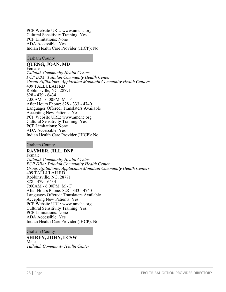PCP Website URL: www.amchc.org Cultural Sensitivity Training: Yes PCP Limitations: None ADA Accessible: Yes Indian Health Care Provider (IHCP): No

#### Graham County

# **QUENG, JOAN, MD**

Female *Tallulah Community Health Center PCP DBA: Tallulah Community Health Center Group Affiliations: Applachian Mountain Community Health Centers* 409 TALLULAH RD Robbinsville, NC, 28771 828 - 479 - 6434 7:00AM - 6:00PM, M - F After Hours Phone: 828 - 333 - 4740 Languages Offered: Translaters Available Accepting New Patients: Yes PCP Website URL: www.amchc.org Cultural Sensitivity Training: Yes PCP Limitations: None ADA Accessible: Yes Indian Health Care Provider (IHCP): No

#### Graham County

#### **RAYMER, JILL, DNP**

Female *Tallulah Community Health Center PCP DBA: Tallulah Community Health Center Group Affiliations: Applachian Mountain Community Health Centers* 409 TALLULAH RD Robbinsville, NC, 28771 828 - 479 - 6434 7:00AM - 6:00PM, M - F After Hours Phone: 828 - 333 - 4740 Languages Offered: Translaters Available Accepting New Patients: Yes PCP Website URL: www.amchc.org Cultural Sensitivity Training: Yes PCP Limitations: None ADA Accessible: Yes Indian Health Care Provider (IHCP): No

#### Graham County

#### **SHIREY, JOHN, LCSW** Male *Tallulah Community Health Center*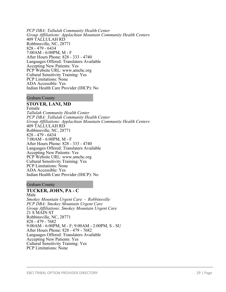*PCP DBA: Tallulah Community Health Center Group Affiliations: Applachian Mountain Community Health Centers* 409 TALLULAH RD Robbinsville, NC, 28771 828 - 479 - 6434 7:00AM - 6:00PM, M - F After Hours Phone: 828 - 333 - 4740 Languages Offered: Translaters Available Accepting New Patients: Yes PCP Website URL: www.amchc.org Cultural Sensitivity Training: Yes PCP Limitations: None ADA Accessible: Yes Indian Health Care Provider (IHCP): No

#### Graham County

# **STOVER, LANI, MD**

Female *Tallulah Community Health Center PCP DBA: Tallulah Community Health Center Group Affiliations: Applachian Mountain Community Health Centers* 409 TALLULAH RD Robbinsville, NC, 28771 828 - 479 - 6434 7:00AM - 6:00PM, M - F After Hours Phone: 828 - 333 - 4740 Languages Offered: Translaters Available Accepting New Patients: Yes PCP Website URL: www.amchc.org Cultural Sensitivity Training: Yes PCP Limitations: None ADA Accessible: Yes Indian Health Care Provider (IHCP): No

#### Graham County

#### **TUCKER, JOHN, PA - C**

Male *Smokey Mountain Urgent Care - Robbinsville PCP DBA: Smokey Mountain Urgent Care Group Affiliations: Smokey Mountain Urgent Care* 21 S MAIN ST Robbinsville, NC, 28771 828 - 479 - 7682 9:00AM - 6:00PM, M - F; 9:00AM - 2:00PM, S - SU After Hours Phone: 828 - 479 - 7682 Languages Offered: Translaters Available Accepting New Patients: Yes Cultural Sensitivity Training: Yes PCP Limitations: None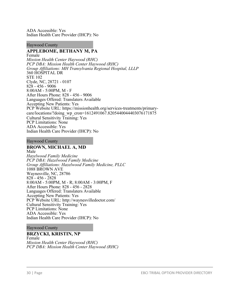ADA Accessible: Yes Indian Health Care Provider (IHCP): No

#### Haywood County

# **APPLEBOME, BETHANY M, PA**

Female *Mission Health Center Haywood (RHC) PCP DBA: Mission Health Center Haywood (RHC) Group Affiliations: MH Transylvania Regional Hospital, LLLP* 360 HOSPITAL DR STE 102 Clyde, NC, 28721 - 0107 828 - 456 - 9006 8:00AM - 5:00PM, M - F After Hours Phone: 828 - 456 - 9006 Languages Offered: Translaters Available Accepting New Patients: Yes PCP Website URL: https://missionhealth.org/services-treatments/primarycare/locations/?doing\_wp\_cron=1612491067.8205440044403076171875 Cultural Sensitivity Training: Yes PCP Limitations: None ADA Accessible: Yes Indian Health Care Provider (IHCP): No

#### Haywood County

#### **BROWN, MICHAEL A, MD** Male

*Hazelwood Family Medicine PCP DBA: Hazelwood Family Medicine Group Affiliations: Hazelwood Family Medicine, PLLC* 1088 BROWN AVE Waynesville, NC, 28786 828 - 456 - 2828 8:00AM - 5:00PM, M - R; 8:00AM - 3:00PM, F After Hours Phone: 828 - 456 - 2828 Languages Offered: Translaters Available Accepting New Patients: Yes PCP Website URL: http://waynesvilledoctor.com/ Cultural Sensitivity Training: Yes PCP Limitations: None ADA Accessible: Yes Indian Health Care Provider (IHCP): No

#### Haywood County

#### **BRZYCKI, KRISTIN, NP**

Female *Mission Health Center Haywood (RHC) PCP DBA: Mission Health Center Haywood (RHC)*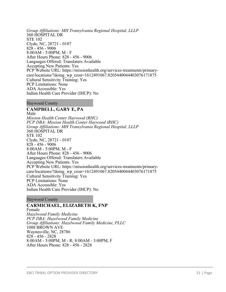*Group Affiliations: MH Transylvania Regional Hospital, LLLP* 360 HOSPITAL DR STE 102 Clyde, NC, 28721 - 0107 828 - 456 - 9006 8:00AM - 5:00PM, M - F After Hours Phone: 828 - 456 - 9006 Languages Offered: Translaters Available Accepting New Patients: Yes PCP Website URL: https://missionhealth.org/services-treatments/primarycare/locations/?doing\_wp\_cron=1612491067.8205440044403076171875 Cultural Sensitivity Training: Yes PCP Limitations: None ADA Accessible: Yes Indian Health Care Provider (IHCP): No

Haywood County

**CAMPBELL, GARY E, PA** Male *Mission Health Center Haywood (RHC) PCP DBA: Mission Health Center Haywood (RHC) Group Affiliations: MH Transylvania Regional Hospital, LLLP* 360 HOSPITAL DR STE 102 Clyde, NC, 28721 - 0107 828 - 456 - 9006 8:00AM - 5:00PM, M - F After Hours Phone: 828 - 456 - 9006 Languages Offered: Translaters Available Accepting New Patients: Yes PCP Website URL: https://missionhealth.org/services-treatments/primarycare/locations/?doing\_wp\_cron=1612491067.8205440044403076171875 Cultural Sensitivity Training: Yes PCP Limitations: None ADA Accessible: Yes Indian Health Care Provider (IHCP): No

Haywood County

#### **CARMICHAEL, ELIZABETH K, FNP** Female *Hazelwood Family Medicine PCP DBA: Hazelwood Family Medicine Group Affiliations: Hazelwood Family Medicine, PLLC* 1088 BROWN AVE Waynesville, NC, 28786 828 - 456 - 2828 8:00AM - 5:00PM, M - R; 8:00AM - 3:00PM, F After Hours Phone: 828 - 456 - 2828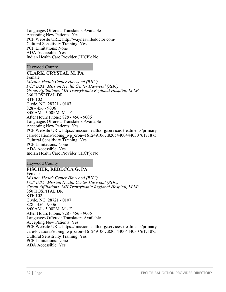Languages Offered: Translaters Available Accepting New Patients: Yes PCP Website URL: http://waynesvilledoctor.com/ Cultural Sensitivity Training: Yes PCP Limitations: None ADA Accessible: Yes Indian Health Care Provider (IHCP): No

Haywood County

# **CLARK, CRYSTAL M, PA**

Female *Mission Health Center Haywood (RHC) PCP DBA: Mission Health Center Haywood (RHC) Group Affiliations: MH Transylvania Regional Hospital, LLLP* 360 HOSPITAL DR STE 102 Clyde, NC, 28721 - 0107 828 - 456 - 9006 8:00AM - 5:00PM, M - F After Hours Phone: 828 - 456 - 9006 Languages Offered: Translaters Available Accepting New Patients: Yes PCP Website URL: https://missionhealth.org/services-treatments/primarycare/locations/?doing\_wp\_cron=1612491067.8205440044403076171875 Cultural Sensitivity Training: Yes PCP Limitations: None ADA Accessible: Yes Indian Health Care Provider (IHCP): No

Haywood County

#### **FISCHER, REBECCA G, PA** Female *Mission Health Center Haywood (RHC) PCP DBA: Mission Health Center Haywood (RHC) Group Affiliations: MH Transylvania Regional Hospital, LLLP* 360 HOSPITAL DR STE 102 Clyde, NC, 28721 - 0107 828 - 456 - 9006 8:00AM - 5:00PM, M - F After Hours Phone: 828 - 456 - 9006 Languages Offered: Translaters Available Accepting New Patients: Yes PCP Website URL: https://missionhealth.org/services-treatments/primarycare/locations/?doing\_wp\_cron=1612491067.8205440044403076171875 Cultural Sensitivity Training: Yes PCP Limitations: None ADA Accessible: Yes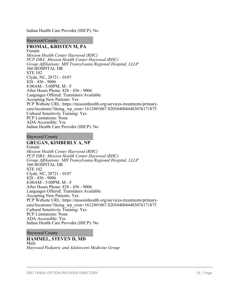Indian Health Care Provider (IHCP): No

Haywood County

# **FROMAL, KRISTEN M, PA**

Female *Mission Health Center Haywood (RHC) PCP DBA: Mission Health Center Haywood (RHC) Group Affiliations: MH Transylvania Regional Hospital, LLLP* 360 HOSPITAL DR STE 102 Clyde, NC, 28721 - 0107 828 - 456 - 9006 8:00AM - 5:00PM, M - F After Hours Phone: 828 - 456 - 9006 Languages Offered: Translaters Available Accepting New Patients: Yes PCP Website URL: https://missionhealth.org/services-treatments/primarycare/locations/?doing\_wp\_cron=1612491067.8205440044403076171875 Cultural Sensitivity Training: Yes PCP Limitations: None ADA Accessible: Yes Indian Health Care Provider (IHCP): No

Haywood County

### **GRUGAN, KIMBERLY A, NP**

Female *Mission Health Center Haywood (RHC) PCP DBA: Mission Health Center Haywood (RHC) Group Affiliations: MH Transylvania Regional Hospital, LLLP* 360 HOSPITAL DR STE 102 Clyde, NC, 28721 - 0107 828 - 456 - 9006 8:00AM - 5:00PM, M - F After Hours Phone: 828 - 456 - 9006 Languages Offered: Translaters Available Accepting New Patients: Yes PCP Website URL: https://missionhealth.org/services-treatments/primarycare/locations/?doing\_wp\_cron=1612491067.8205440044403076171875 Cultural Sensitivity Training: Yes PCP Limitations: None ADA Accessible: Yes Indian Health Care Provider (IHCP): No

Haywood County

#### **HAMMEL, STEVEN D, MD**

Male *Haywood Pediatric and Adolescent Medicine Group*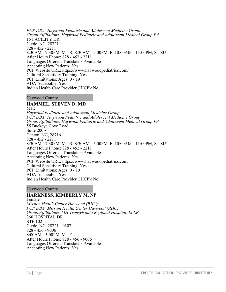*PCP DBA: Haywood Pediatric and Adolescent Medicine Group Group Affiliations: Haywood Pediatric and Adolescent Medical Group PA* 15 FACILITY DR Clyde, NC, 28721 828 - 452 - 2211 8:30AM - 7:30PM, M - R; 8:30AM - 5:00PM, F; 10:00AM - 11:00PM, S - SU After Hours Phone: 828 - 452 - 2211 Languages Offered: Translaters Available Accepting New Patients: Yes PCP Website URL: https://www.haywoodpediatrics.com/ Cultural Sensitivity Training: Yes PCP Limitations: Ages: 0 - 19 ADA Accessible: Yes Indian Health Care Provider (IHCP): No

#### Haywood County

# **HAMMEL, STEVEN D, MD**

Male *Haywood Pediatric and Adolescent Medicine Group PCP DBA: Haywood Pediatric and Adolescent Medicine Group Group Affiliations: Haywood Pediatric and Adolescent Medical Group PA* 55 Buckeye Cove Road Suite 200A Canton, NC, 28716 828 - 452 - 2211 8:30AM - 7:30PM, M - R; 8:30AM - 5:00PM, F; 10:00AM - 11:00PM, S - SU After Hours Phone: 828 - 452 - 2211 Languages Offered: Translaters Available Accepting New Patients: Yes PCP Website URL: https://www.haywoodpediatrics.com/ Cultural Sensitivity Training: Yes PCP Limitations: Ages: 0 - 19 ADA Accessible: Yes Indian Health Care Provider (IHCP): No

Haywood County

#### **HARKNESS, KIMBERLY M, NP** Female

*Mission Health Center Haywood (RHC) PCP DBA: Mission Health Center Haywood (RHC) Group Affiliations: MH Transylvania Regional Hospital, LLLP* 360 HOSPITAL DR STE 102 Clyde, NC, 28721 - 0107 828 - 456 - 9006 8:00AM - 5:00PM, M - F After Hours Phone: 828 - 456 - 9006 Languages Offered: Translaters Available Accepting New Patients: Yes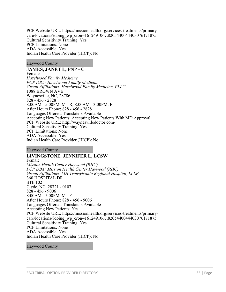PCP Website URL: https://missionhealth.org/services-treatments/primarycare/locations/?doing\_wp\_cron=1612491067.8205440044403076171875 Cultural Sensitivity Training: Yes PCP Limitations: None ADA Accessible: Yes Indian Health Care Provider (IHCP): No

Haywood County

### **JAMES, JANET L, FNP - C**

Female *Hazelwood Family Medicine PCP DBA: Hazelwood Family Medicine Group Affiliations: Hazelwood Family Medicine, PLLC* 1088 BROWN AVE Waynesville, NC, 28786 828 - 456 - 2828 8:00AM - 5:00PM, M - R; 8:00AM - 3:00PM, F After Hours Phone: 828 - 456 - 2828 Languages Offered: Translaters Available Accepting New Patients: Accepting New Patients With MD Approval PCP Website URL: http://waynesvilledoctor.com/ Cultural Sensitivity Training: Yes PCP Limitations: None ADA Accessible: Yes Indian Health Care Provider (IHCP): No

Haywood County

# **LIVINGSTONE, JENNIFER L, LCSW**

Female *Mission Health Center Haywood (RHC) PCP DBA: Mission Health Center Haywood (RHC) Group Affiliations: MH Transylvania Regional Hospital, LLLP* 360 HOSPITAL DR STE 102 Clyde, NC, 28721 - 0107 828 - 456 - 9006 8:00AM - 5:00PM, M - F After Hours Phone: 828 - 456 - 9006 Languages Offered: Translaters Available Accepting New Patients: Yes PCP Website URL: https://missionhealth.org/services-treatments/primarycare/locations/?doing\_wp\_cron=1612491067.8205440044403076171875 Cultural Sensitivity Training: Yes PCP Limitations: None ADA Accessible: Yes Indian Health Care Provider (IHCP): No

Haywood County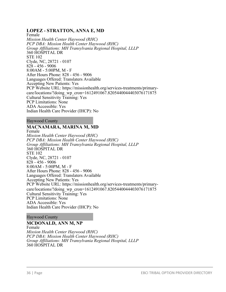# **LOPEZ - STRATTON, ANNA E, MD**

Female *Mission Health Center Haywood (RHC) PCP DBA: Mission Health Center Haywood (RHC) Group Affiliations: MH Transylvania Regional Hospital, LLLP* 360 HOSPITAL DR STE 102 Clyde, NC, 28721 - 0107 828 - 456 - 9006 8:00AM - 5:00PM, M - F After Hours Phone: 828 - 456 - 9006 Languages Offered: Translaters Available Accepting New Patients: Yes PCP Website URL: https://missionhealth.org/services-treatments/primarycare/locations/?doing\_wp\_cron=1612491067.8205440044403076171875 Cultural Sensitivity Training: Yes PCP Limitations: None ADA Accessible: Yes Indian Health Care Provider (IHCP): No

Haywood County

# **MACNAMARA, MARINA M, MD**

Female *Mission Health Center Haywood (RHC) PCP DBA: Mission Health Center Haywood (RHC) Group Affiliations: MH Transylvania Regional Hospital, LLLP* 360 HOSPITAL DR STE 102 Clyde, NC, 28721 - 0107 828 - 456 - 9006 8:00AM - 5:00PM, M - F After Hours Phone: 828 - 456 - 9006 Languages Offered: Translaters Available Accepting New Patients: Yes PCP Website URL: https://missionhealth.org/services-treatments/primarycare/locations/?doing\_wp\_cron=1612491067.8205440044403076171875 Cultural Sensitivity Training: Yes PCP Limitations: None ADA Accessible: Yes Indian Health Care Provider (IHCP): No

#### Haywood County

#### **MCDONALD, ANN M, NP**

Female *Mission Health Center Haywood (RHC) PCP DBA: Mission Health Center Haywood (RHC) Group Affiliations: MH Transylvania Regional Hospital, LLLP* 360 HOSPITAL DR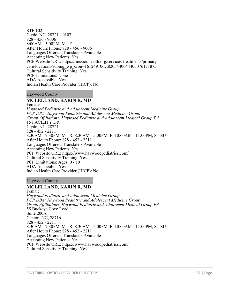STE 102 Clyde, NC, 28721 - 0107 828 - 456 - 9006 8:00AM - 5:00PM, M - F After Hours Phone: 828 - 456 - 9006 Languages Offered: Translaters Available Accepting New Patients: Yes PCP Website URL: https://missionhealth.org/services-treatments/primarycare/locations/?doing\_wp\_cron=1612491067.8205440044403076171875 Cultural Sensitivity Training: Yes PCP Limitations: None ADA Accessible: Yes Indian Health Care Provider (IHCP): No

### Haywood County

## **MCLELLAND, KARIN R, MD**

Female *Haywood Pediatric and Adolescent Medicine Group PCP DBA: Haywood Pediatric and Adolescent Medicine Group Group Affiliations: Haywood Pediatric and Adolescent Medical Group PA* 15 FACILITY DR Clyde, NC, 28721 828 - 452 - 2211 8:30AM - 7:30PM, M - R; 8:30AM - 5:00PM, F; 10:00AM - 11:00PM, S - SU After Hours Phone: 828 - 452 - 2211 Languages Offered: Translaters Available Accepting New Patients: Yes PCP Website URL: https://www.haywoodpediatrics.com/ Cultural Sensitivity Training: Yes PCP Limitations: Ages: 0 - 19 ADA Accessible: Yes Indian Health Care Provider (IHCP): No

### Haywood County

## **MCLELLAND, KARIN R, MD**

Female *Haywood Pediatric and Adolescent Medicine Group PCP DBA: Haywood Pediatric and Adolescent Medicine Group Group Affiliations: Haywood Pediatric and Adolescent Medical Group PA* 55 Buckeye Cove Road Suite 200A Canton, NC, 28716 828 - 452 - 2211 8:30AM - 7:30PM, M - R; 8:30AM - 5:00PM, F; 10:00AM - 11:00PM, S - SU After Hours Phone: 828 - 452 - 2211 Languages Offered: Translaters Available Accepting New Patients: Yes PCP Website URL: https://www.haywoodpediatrics.com/ Cultural Sensitivity Training: Yes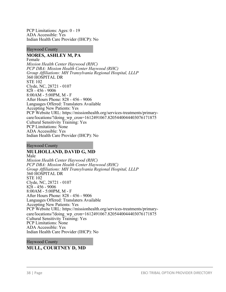PCP Limitations: Ages: 0 - 19 ADA Accessible: Yes Indian Health Care Provider (IHCP): No

### Haywood County

# **MORES, ASHLEY M, PA**

Female *Mission Health Center Haywood (RHC) PCP DBA: Mission Health Center Haywood (RHC) Group Affiliations: MH Transylvania Regional Hospital, LLLP* 360 HOSPITAL DR STE 102 Clyde, NC, 28721 - 0107 828 - 456 - 9006 8:00AM - 5:00PM, M - F After Hours Phone: 828 - 456 - 9006 Languages Offered: Translaters Available Accepting New Patients: Yes PCP Website URL: https://missionhealth.org/services-treatments/primarycare/locations/?doing\_wp\_cron=1612491067.8205440044403076171875 Cultural Sensitivity Training: Yes PCP Limitations: None ADA Accessible: Yes Indian Health Care Provider (IHCP): No

### Haywood County

# **MULHOLLAND, DAVID G, MD**

Male *Mission Health Center Haywood (RHC) PCP DBA: Mission Health Center Haywood (RHC) Group Affiliations: MH Transylvania Regional Hospital, LLLP* 360 HOSPITAL DR STE 102 Clyde, NC, 28721 - 0107 828 - 456 - 9006 8:00AM - 5:00PM, M - F After Hours Phone: 828 - 456 - 9006 Languages Offered: Translaters Available Accepting New Patients: Yes PCP Website URL: https://missionhealth.org/services-treatments/primarycare/locations/?doing\_wp\_cron=1612491067.8205440044403076171875 Cultural Sensitivity Training: Yes PCP Limitations: None ADA Accessible: Yes Indian Health Care Provider (IHCP): No

# Haywood County **MULL, COURTNEY D, MD**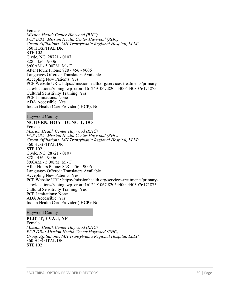Female *Mission Health Center Haywood (RHC) PCP DBA: Mission Health Center Haywood (RHC) Group Affiliations: MH Transylvania Regional Hospital, LLLP* 360 HOSPITAL DR STE 102 Clyde, NC, 28721 - 0107 828 - 456 - 9006 8:00AM - 5:00PM, M - F After Hours Phone: 828 - 456 - 9006 Languages Offered: Translaters Available Accepting New Patients: Yes PCP Website URL: https://missionhealth.org/services-treatments/primarycare/locations/?doing\_wp\_cron=1612491067.8205440044403076171875 Cultural Sensitivity Training: Yes PCP Limitations: None ADA Accessible: Yes Indian Health Care Provider (IHCP): No

Haywood County

# **NGUYEN, HOA - DUNG T, DO**

Female *Mission Health Center Haywood (RHC) PCP DBA: Mission Health Center Haywood (RHC) Group Affiliations: MH Transylvania Regional Hospital, LLLP* 360 HOSPITAL DR STE 102 Clyde, NC, 28721 - 0107 828 - 456 - 9006 8:00AM - 5:00PM, M - F After Hours Phone: 828 - 456 - 9006 Languages Offered: Translaters Available Accepting New Patients: Yes PCP Website URL: https://missionhealth.org/services-treatments/primarycare/locations/?doing\_wp\_cron=1612491067.8205440044403076171875 Cultural Sensitivity Training: Yes PCP Limitations: None ADA Accessible: Yes Indian Health Care Provider (IHCP): No

### Haywood County

**PLOTT, EVA J, NP** Female *Mission Health Center Haywood (RHC) PCP DBA: Mission Health Center Haywood (RHC) Group Affiliations: MH Transylvania Regional Hospital, LLLP* 360 HOSPITAL DR STE 102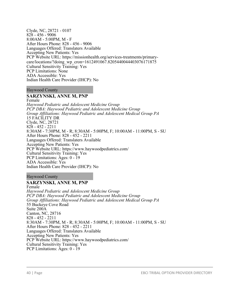Clyde, NC, 28721 - 0107 828 - 456 - 9006 8:00AM - 5:00PM, M - F After Hours Phone: 828 - 456 - 9006 Languages Offered: Translaters Available Accepting New Patients: Yes PCP Website URL: https://missionhealth.org/services-treatments/primarycare/locations/?doing\_wp\_cron=1612491067.8205440044403076171875 Cultural Sensitivity Training: Yes PCP Limitations: None ADA Accessible: Yes Indian Health Care Provider (IHCP): No

Haywood County

## **SARZYNSKI, ANNE M, PNP**

Female

*Haywood Pediatric and Adolescent Medicine Group PCP DBA: Haywood Pediatric and Adolescent Medicine Group Group Affiliations: Haywood Pediatric and Adolescent Medical Group PA* 15 FACILITY DR Clyde, NC, 28721 828 - 452 - 2211 8:30AM - 7:30PM, M - R; 8:30AM - 5:00PM, F; 10:00AM - 11:00PM, S - SU After Hours Phone: 828 - 452 - 2211 Languages Offered: Translaters Available Accepting New Patients: Yes PCP Website URL: https://www.haywoodpediatrics.com/ Cultural Sensitivity Training: Yes PCP Limitations: Ages: 0 - 19 ADA Accessible: Yes Indian Health Care Provider (IHCP): No

Haywood County

## **SARZYNSKI, ANNE M, PNP**

Female *Haywood Pediatric and Adolescent Medicine Group PCP DBA: Haywood Pediatric and Adolescent Medicine Group Group Affiliations: Haywood Pediatric and Adolescent Medical Group PA* 55 Buckeye Cove Road Suite 200A Canton, NC, 28716 828 - 452 - 2211 8:30AM - 7:30PM, M - R; 8:30AM - 5:00PM, F; 10:00AM - 11:00PM, S - SU After Hours Phone: 828 - 452 - 2211 Languages Offered: Translaters Available Accepting New Patients: Yes PCP Website URL: https://www.haywoodpediatrics.com/ Cultural Sensitivity Training: Yes PCP Limitations: Ages: 0 - 19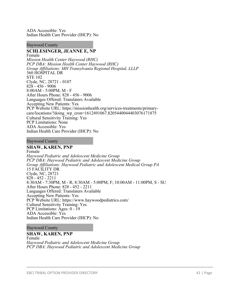ADA Accessible: Yes Indian Health Care Provider (IHCP): No

#### Haywood County

## **SCHLESINGER, JEANNE E, NP**

Female *Mission Health Center Haywood (RHC) PCP DBA: Mission Health Center Haywood (RHC) Group Affiliations: MH Transylvania Regional Hospital, LLLP* 360 HOSPITAL DR STE 102 Clyde, NC, 28721 - 0107 828 - 456 - 9006 8:00AM - 5:00PM, M - F After Hours Phone: 828 - 456 - 9006 Languages Offered: Translaters Available Accepting New Patients: Yes PCP Website URL: https://missionhealth.org/services-treatments/primarycare/locations/?doing\_wp\_cron=1612491067.8205440044403076171875 Cultural Sensitivity Training: Yes PCP Limitations: None ADA Accessible: Yes Indian Health Care Provider (IHCP): No

#### Haywood County

### **SHAW, KAREN, PNP**

Female *Haywood Pediatric and Adolescent Medicine Group PCP DBA: Haywood Pediatric and Adolescent Medicine Group Group Affiliations: Haywood Pediatric and Adolescent Medical Group PA* 15 FACILITY DR Clyde, NC, 28721 828 - 452 - 2211 8:30AM - 7:30PM, M - R; 8:30AM - 5:00PM, F; 10:00AM - 11:00PM, S - SU After Hours Phone: 828 - 452 - 2211 Languages Offered: Translaters Available Accepting New Patients: Yes PCP Website URL: https://www.haywoodpediatrics.com/ Cultural Sensitivity Training: Yes PCP Limitations: Ages: 0 - 19 ADA Accessible: Yes Indian Health Care Provider (IHCP): No

#### Haywood County

### **SHAW, KAREN, PNP**

Female *Haywood Pediatric and Adolescent Medicine Group PCP DBA: Haywood Pediatric and Adolescent Medicine Group*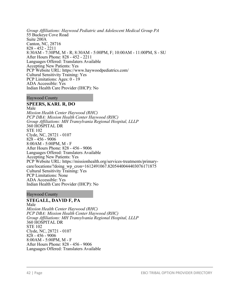*Group Affiliations: Haywood Pediatric and Adolescent Medical Group PA* 55 Buckeye Cove Road Suite 200A Canton, NC, 28716 828 - 452 - 2211 8:30AM - 7:30PM, M - R; 8:30AM - 5:00PM, F; 10:00AM - 11:00PM, S - SU After Hours Phone: 828 - 452 - 2211 Languages Offered: Translaters Available Accepting New Patients: Yes PCP Website URL: https://www.haywoodpediatrics.com/ Cultural Sensitivity Training: Yes PCP Limitations: Ages: 0 - 19 ADA Accessible: Yes Indian Health Care Provider (IHCP): No

## Haywood County

## **SPEERS, KARL R, DO**

Male *Mission Health Center Haywood (RHC) PCP DBA: Mission Health Center Haywood (RHC) Group Affiliations: MH Transylvania Regional Hospital, LLLP* 360 HOSPITAL DR STE 102 Clyde, NC, 28721 - 0107 828 - 456 - 9006 8:00AM - 5:00PM, M - F After Hours Phone: 828 - 456 - 9006 Languages Offered: Translaters Available Accepting New Patients: Yes PCP Website URL: https://missionhealth.org/services-treatments/primarycare/locations/?doing\_wp\_cron=1612491067.8205440044403076171875 Cultural Sensitivity Training: Yes PCP Limitations: None ADA Accessible: Yes Indian Health Care Provider (IHCP): No

Haywood County

# **STEGALL, DAVID F, PA**

Male *Mission Health Center Haywood (RHC) PCP DBA: Mission Health Center Haywood (RHC) Group Affiliations: MH Transylvania Regional Hospital, LLLP* 360 HOSPITAL DR STE 102 Clyde, NC, 28721 - 0107 828 - 456 - 9006 8:00AM - 5:00PM, M - F After Hours Phone: 828 - 456 - 9006 Languages Offered: Translaters Available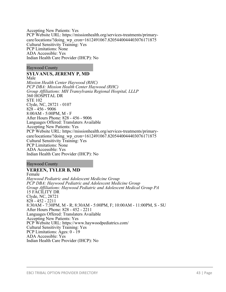Accepting New Patients: Yes PCP Website URL: https://missionhealth.org/services-treatments/primarycare/locations/?doing\_wp\_cron=1612491067.8205440044403076171875 Cultural Sensitivity Training: Yes PCP Limitations: None ADA Accessible: Yes Indian Health Care Provider (IHCP): No

Haywood County

## **SYLVANUS, JEREMY P, MD**

Male *Mission Health Center Haywood (RHC) PCP DBA: Mission Health Center Haywood (RHC) Group Affiliations: MH Transylvania Regional Hospital, LLLP* 360 HOSPITAL DR STE 102 Clyde, NC, 28721 - 0107 828 - 456 - 9006 8:00AM - 5:00PM, M - F After Hours Phone: 828 - 456 - 9006 Languages Offered: Translaters Available Accepting New Patients: Yes PCP Website URL: https://missionhealth.org/services-treatments/primarycare/locations/?doing\_wp\_cron=1612491067.8205440044403076171875 Cultural Sensitivity Training: Yes PCP Limitations: None ADA Accessible: Yes Indian Health Care Provider (IHCP): No

Haywood County

# **VEREEN, TYLER B, MD**

Female *Haywood Pediatric and Adolescent Medicine Group PCP DBA: Haywood Pediatric and Adolescent Medicine Group Group Affiliations: Haywood Pediatric and Adolescent Medical Group PA* 15 FACILITY DR Clyde, NC, 28721 828 - 452 - 2211 8:30AM - 7:30PM, M - R; 8:30AM - 5:00PM, F; 10:00AM - 11:00PM, S - SU After Hours Phone: 828 - 452 - 2211 Languages Offered: Translaters Available Accepting New Patients: Yes PCP Website URL: https://www.haywoodpediatrics.com/ Cultural Sensitivity Training: Yes PCP Limitations: Ages: 0 - 19 ADA Accessible: Yes Indian Health Care Provider (IHCP): No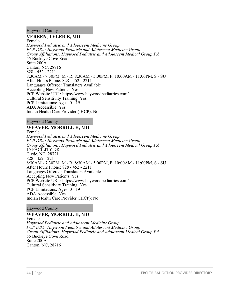## Haywood County

## **VEREEN, TYLER B, MD**

Female *Haywood Pediatric and Adolescent Medicine Group PCP DBA: Haywood Pediatric and Adolescent Medicine Group Group Affiliations: Haywood Pediatric and Adolescent Medical Group PA* 55 Buckeye Cove Road Suite 200A Canton, NC, 28716 828 - 452 - 2211 8:30AM - 7:30PM, M - R; 8:30AM - 5:00PM, F; 10:00AM - 11:00PM, S - SU After Hours Phone: 828 - 452 - 2211 Languages Offered: Translaters Available Accepting New Patients: Yes PCP Website URL: https://www.haywoodpediatrics.com/ Cultural Sensitivity Training: Yes PCP Limitations: Ages: 0 - 19 ADA Accessible: Yes Indian Health Care Provider (IHCP): No

## Haywood County

# **WEAVER, MORRILL H, MD**

Female *Haywood Pediatric and Adolescent Medicine Group PCP DBA: Haywood Pediatric and Adolescent Medicine Group Group Affiliations: Haywood Pediatric and Adolescent Medical Group PA* 15 FACILITY DR Clyde, NC, 28721 828 - 452 - 2211 8:30AM - 7:30PM, M - R; 8:30AM - 5:00PM, F; 10:00AM - 11:00PM, S - SU After Hours Phone: 828 - 452 - 2211 Languages Offered: Translaters Available Accepting New Patients: Yes PCP Website URL: https://www.haywoodpediatrics.com/ Cultural Sensitivity Training: Yes PCP Limitations: Ages: 0 - 19 ADA Accessible: Yes Indian Health Care Provider (IHCP): No

Haywood County

# **WEAVER, MORRILL H, MD**

Female *Haywood Pediatric and Adolescent Medicine Group PCP DBA: Haywood Pediatric and Adolescent Medicine Group Group Affiliations: Haywood Pediatric and Adolescent Medical Group PA* 55 Buckeye Cove Road Suite 200A Canton, NC, 28716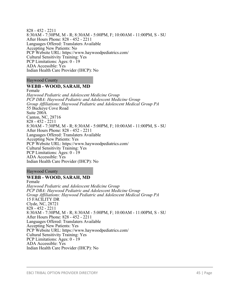828 - 452 - 2211 8:30AM - 7:30PM, M - R; 8:30AM - 5:00PM, F; 10:00AM - 11:00PM, S - SU After Hours Phone: 828 - 452 - 2211 Languages Offered: Translaters Available Accepting New Patients: No PCP Website URL: https://www.haywoodpediatrics.com/ Cultural Sensitivity Training: Yes PCP Limitations: Ages: 0 - 19 ADA Accessible: Yes Indian Health Care Provider (IHCP): No

### Haywood County

## **WEBB - WOOD, SARAH, MD**

Female *Haywood Pediatric and Adolescent Medicine Group PCP DBA: Haywood Pediatric and Adolescent Medicine Group Group Affiliations: Haywood Pediatric and Adolescent Medical Group PA* 55 Buckeye Cove Road Suite 200A Canton, NC, 28716 828 - 452 - 2211 8:30AM - 7:30PM, M - R; 8:30AM - 5:00PM, F; 10:00AM - 11:00PM, S - SU After Hours Phone: 828 - 452 - 2211 Languages Offered: Translaters Available Accepting New Patients: Yes PCP Website URL: https://www.haywoodpediatrics.com/ Cultural Sensitivity Training: Yes PCP Limitations: Ages: 0 - 19 ADA Accessible: Yes Indian Health Care Provider (IHCP): No

### Haywood County

### **WEBB - WOOD, SARAH, MD**

Female *Haywood Pediatric and Adolescent Medicine Group PCP DBA: Haywood Pediatric and Adolescent Medicine Group Group Affiliations: Haywood Pediatric and Adolescent Medical Group PA* 15 FACILITY DR Clyde, NC, 28721 828 - 452 - 2211 8:30AM - 7:30PM, M - R; 8:30AM - 5:00PM, F; 10:00AM - 11:00PM, S - SU After Hours Phone: 828 - 452 - 2211 Languages Offered: Translaters Available Accepting New Patients: Yes PCP Website URL: https://www.haywoodpediatrics.com/ Cultural Sensitivity Training: Yes PCP Limitations: Ages: 0 - 19 ADA Accessible: Yes Indian Health Care Provider (IHCP): No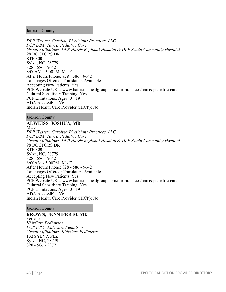### Jackson County

*DLP Western Carolina Physicians Practices, LLC PCP DBA: Harris Pediatric Care Group Affiliations: DLP Harris Regional Hospital & DLP Swain Community Hospital* 98 DOCTORS DR STE 300 Sylva, NC, 28779 828 - 586 - 9642 8:00AM - 5:00PM, M - F After Hours Phone: 828 - 586 - 9642 Languages Offered: Translaters Available Accepting New Patients: Yes PCP Website URL: www.harrismedicalgroup.com/our-practices/harris-pediatric-care Cultural Sensitivity Training: Yes PCP Limitations: Ages: 0 - 19 ADA Accessible: Yes Indian Health Care Provider (IHCP): No

Jackson County

## **ALWEISS, JOSHUA, MD**

Male *DLP Western Carolina Physicians Practices, LLC PCP DBA: Harris Pediatric Care Group Affiliations: DLP Harris Regional Hospital & DLP Swain Community Hospital* 98 DOCTORS DR STE 300 Sylva, NC, 28779 828 - 586 - 9642 8:00AM - 5:00PM, M - F After Hours Phone: 828 - 586 - 9642 Languages Offered: Translaters Available Accepting New Patients: Yes PCP Website URL: www.harrismedicalgroup.com/our-practices/harris-pediatric-care Cultural Sensitivity Training: Yes PCP Limitations: Ages: 0 - 19 ADA Accessible: Yes Indian Health Care Provider (IHCP): No

Jackson County

### **BROWN, JENNIFER M, MD**

Female *KidzCare Pediatrics PCP DBA: KidzCare Pediatrics Group Affiliations: KidzCare Pediatrics* 132 SYLVA PLZ Sylva, NC, 28779 828 - 586 - 2377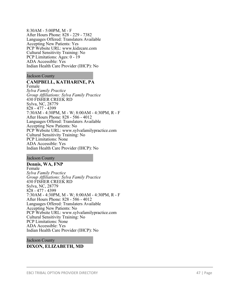8:30AM - 5:00PM, M - F After Hours Phone: 828 - 229 - 7382 Languages Offered: Translaters Available Accepting New Patients: Yes PCP Website URL: www.kidzcare.com Cultural Sensitivity Training: No PCP Limitations: Ages: 0 - 19 ADA Accessible: Yes Indian Health Care Provider (IHCP): No

### Jackson County

# **CAMPBELL, KATHARINE, PA**

Female *Sylva Family Practice Group Affiliations: Sylva Family Practice* 430 FISHER CREEK RD Sylva, NC, 28779 828 - 477 - 4399 7:30AM - 4:30PM, M - W; 8:00AM - 4:30PM, R - F After Hours Phone: 828 - 586 - 4012 Languages Offered: Translaters Available Accepting New Patients: No PCP Website URL: www.sylvafamilypractice.com Cultural Sensitivity Training: No PCP Limitations: None ADA Accessible: Yes Indian Health Care Provider (IHCP): No

#### Jackson County

**Dennis, WA, FNP** Female *Sylva Family Practice Group Affiliations: Sylva Family Practice* 430 FISHER CREEK RD Sylva, NC, 28779 828 - 477 - 4399 7:30AM - 4:30PM, M - W; 8:00AM - 4:30PM, R - F After Hours Phone: 828 - 586 - 4012 Languages Offered: Translaters Available Accepting New Patients: No PCP Website URL: www.sylvafamilypractice.com Cultural Sensitivity Training: No PCP Limitations: None ADA Accessible: Yes Indian Health Care Provider (IHCP): No

#### Jackson County

# **DIXON, ELIZABETH, MD**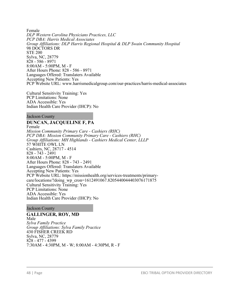Female *DLP Western Carolina Physicians Practices, LLC PCP DBA: Harris Medical Associates Group Affiliations: DLP Harris Regional Hospital & DLP Swain Community Hospital* 98 DOCTORS DR STE 200 Sylva, NC, 28779 828 - 586 - 8971 8:00AM - 5:00PM, M - F After Hours Phone: 828 - 586 - 8971 Languages Offered: Translaters Available Accepting New Patients: Yes PCP Website URL: www.harrismedicalgroup.com/our-practices/harris-medical-associates

Cultural Sensitivity Training: Yes PCP Limitations: None ADA Accessible: Yes Indian Health Care Provider (IHCP): No

Jackson County

# **DUNCAN, JACQUELINE F, PA**

Female *Mission Community Primary Care - Cashiers (RHC) PCP DBA: Mission Community Primary Care - Cashiers (RHC) Group Affiliations: MH Highlands - Cashiers Medical Center, LLLP* 57 WHITE OWL LN Cashiers, NC, 28717 - 4514 828 - 743 - 2491 8:00AM - 5:00PM, M - F After Hours Phone: 828 - 743 - 2491 Languages Offered: Translaters Available Accepting New Patients: Yes PCP Website URL: https://missionhealth.org/services-treatments/primarycare/locations/?doing\_wp\_cron=1612491067.8205440044403076171875 Cultural Sensitivity Training: Yes PCP Limitations: None ADA Accessible: Yes Indian Health Care Provider (IHCP): No

Jackson County

**GALLINGER, ROY, MD** Male *Sylva Family Practice Group Affiliations: Sylva Family Practice* 430 FISHER CREEK RD Sylva, NC, 28779 828 - 477 - 4399 7:30AM - 4:30PM, M - W; 8:00AM - 4:30PM, R - F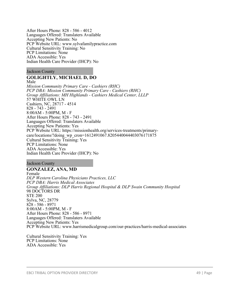After Hours Phone: 828 - 586 - 4012 Languages Offered: Translaters Available Accepting New Patients: No PCP Website URL: www.sylvafamilypractice.com Cultural Sensitivity Training: No PCP Limitations: None ADA Accessible: Yes Indian Health Care Provider (IHCP): No

### Jackson County

# **GOLIGHTLY, MICHAEL D, DO**

Male

*Mission Community Primary Care - Cashiers (RHC) PCP DBA: Mission Community Primary Care - Cashiers (RHC) Group Affiliations: MH Highlands - Cashiers Medical Center, LLLP* 57 WHITE OWL LN Cashiers, NC, 28717 - 4514 828 - 743 - 2491 8:00AM - 5:00PM, M - F After Hours Phone: 828 - 743 - 2491 Languages Offered: Translaters Available Accepting New Patients: Yes PCP Website URL: https://missionhealth.org/services-treatments/primarycare/locations/?doing\_wp\_cron=1612491067.8205440044403076171875 Cultural Sensitivity Training: Yes PCP Limitations: None ADA Accessible: Yes Indian Health Care Provider (IHCP): No

Jackson County

# **GONZALEZ, ANA, MD**

Female *DLP Western Carolina Physicians Practices, LLC PCP DBA: Harris Medical Associates Group Affiliations: DLP Harris Regional Hospital & DLP Swain Community Hospital* 98 DOCTORS DR STE 200 Sylva, NC, 28779 828 - 586 - 8971 8:00AM - 5:00PM, M - F After Hours Phone: 828 - 586 - 8971 Languages Offered: Translaters Available Accepting New Patients: Yes PCP Website URL: www.harrismedicalgroup.com/our-practices/harris-medical-associates

Cultural Sensitivity Training: Yes PCP Limitations: None ADA Accessible: Yes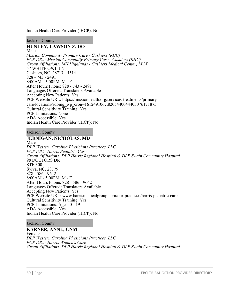Indian Health Care Provider (IHCP): No

### Jackson County

# **HUNLEY, LAWSON Z, DO**

Male *Mission Community Primary Care - Cashiers (RHC) PCP DBA: Mission Community Primary Care - Cashiers (RHC) Group Affiliations: MH Highlands - Cashiers Medical Center, LLLP* 57 WHITE OWL LN Cashiers, NC, 28717 - 4514 828 - 743 - 2491 8:00AM - 5:00PM, M - F After Hours Phone: 828 - 743 - 2491 Languages Offered: Translaters Available Accepting New Patients: Yes PCP Website URL: https://missionhealth.org/services-treatments/primarycare/locations/?doing\_wp\_cron=1612491067.8205440044403076171875 Cultural Sensitivity Training: Yes PCP Limitations: None ADA Accessible: Yes Indian Health Care Provider (IHCP): No

### Jackson County

## **JERNIGAN, NICHOLAS, MD**

Male *DLP Western Carolina Physicians Practices, LLC PCP DBA: Harris Pediatric Care Group Affiliations: DLP Harris Regional Hospital & DLP Swain Community Hospital* 98 DOCTORS DR STE 300 Sylva, NC, 28779 828 - 586 - 9642 8:00AM - 5:00PM, M - F After Hours Phone: 828 - 586 - 9642 Languages Offered: Translaters Available Accepting New Patients: Yes PCP Website URL: www.harrismedicalgroup.com/our-practices/harris-pediatric-care Cultural Sensitivity Training: Yes PCP Limitations: Ages: 0 - 19 ADA Accessible: Yes Indian Health Care Provider (IHCP): No

#### Jackson County

**KARNER, ANNE, CNM** Female *DLP Western Carolina Physicians Practices, LLC PCP DBA: Harris Women's Care Group Affiliations: DLP Harris Regional Hospital & DLP Swain Community Hospital*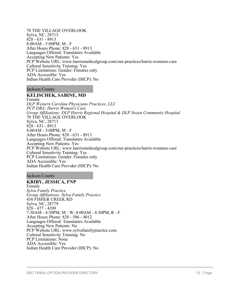70 THE VILLAGE OVERLOOK Sylva, NC, 28713 828 - 631 - 8913 8:00AM - 5:00PM, M - F After Hours Phone: 828 - 631 - 8913 Languages Offered: Translaters Available Accepting New Patients: Yes PCP Website URL: www.harrismedicalgroup.com/our-practices/harris-womens-care Cultural Sensitivity Training: Yes PCP Limitations: Gender: Females only ADA Accessible: Yes Indian Health Care Provider (IHCP): No

### Jackson County

## **KELISCHEK, SABINE, MD**

Female *DLP Western Carolina Physicians Practices, LLC PCP DBA: Harris Women's Care Group Affiliations: DLP Harris Regional Hospital & DLP Swain Community Hospital* 70 THE VILLAGE OVERLOOK Sylva, NC, 28713 828 - 631 - 8913 8:00AM - 5:00PM, M - F After Hours Phone: 828 - 631 - 8913 Languages Offered: Translaters Available Accepting New Patients: Yes PCP Website URL: www.harrismedicalgroup.com/our-practices/harris-womens-care Cultural Sensitivity Training: Yes PCP Limitations: Gender: Females only ADA Accessible: Yes Indian Health Care Provider (IHCP): No

#### Jackson County

## **KRIBY, JESSICA, FNP**

Female *Sylva Family Practice Group Affiliations: Sylva Family Practice* 430 FISHER CREEK RD Sylva, NC, 28779 828 - 477 - 4399 7:30AM - 4:30PM, M - W; 8:00AM - 4:30PM, R - F After Hours Phone: 828 - 586 - 4012 Languages Offered: Translaters Available Accepting New Patients: No PCP Website URL: www.sylvafamilypractice.com Cultural Sensitivity Training: No PCP Limitations: None ADA Accessible: Yes Indian Health Care Provider (IHCP): No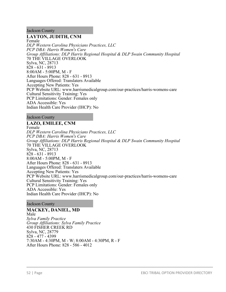Jackson County

# **LAYTON, JUDITH, CNM**

Female *DLP Western Carolina Physicians Practices, LLC PCP DBA: Harris Women's Care Group Affiliations: DLP Harris Regional Hospital & DLP Swain Community Hospital* 70 THE VILLAGE OVERLOOK Sylva, NC, 28713 828 - 631 - 8913 8:00AM - 5:00PM, M - F After Hours Phone: 828 - 631 - 8913 Languages Offered: Translaters Available Accepting New Patients: Yes PCP Website URL: www.harrismedicalgroup.com/our-practices/harris-womens-care Cultural Sensitivity Training: Yes PCP Limitations: Gender: Females only ADA Accessible: Yes Indian Health Care Provider (IHCP): No

Jackson County

# **LAZO, EMILEE, CNM**

Female *DLP Western Carolina Physicians Practices, LLC PCP DBA: Harris Women's Care Group Affiliations: DLP Harris Regional Hospital & DLP Swain Community Hospital* 70 THE VILLAGE OVERLOOK Sylva, NC, 28713 828 - 631 - 8913 8:00AM - 5:00PM, M - F After Hours Phone: 828 - 631 - 8913 Languages Offered: Translaters Available Accepting New Patients: Yes PCP Website URL: www.harrismedicalgroup.com/our-practices/harris-womens-care Cultural Sensitivity Training: Yes PCP Limitations: Gender: Females only ADA Accessible: Yes Indian Health Care Provider (IHCP): No

Jackson County

### **MACKEY, DANIEL, MD** Male *Sylva Family Practice Group Affiliations: Sylva Family Practice* 430 FISHER CREEK RD Sylva, NC, 28779 828 - 477 - 4399 7:30AM - 4:30PM, M - W; 8:00AM - 4:30PM, R - F After Hours Phone: 828 - 586 - 4012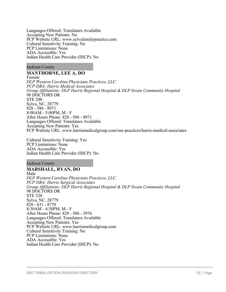Languages Offered: Translaters Available Accepting New Patients: No PCP Website URL: www.sylvafamilypractice.com Cultural Sensitivity Training: No PCP Limitations: None ADA Accessible: Yes Indian Health Care Provider (IHCP): No

Jackson County

## **MANTHORNE, LEE A, DO**

Female *DLP Western Carolina Physicians Practices, LLC PCP DBA: Harris Medical Associates Group Affiliations: DLP Harris Regional Hospital & DLP Swain Community Hospital* 98 DOCTORS DR STE 200 Sylva, NC, 28779 828 - 586 - 8971 8:00AM - 5:00PM, M - F After Hours Phone: 828 - 586 - 8971 Languages Offered: Translaters Available Accepting New Patients: Yes PCP Website URL: www.harrismedicalgroup.com/our-practices/harris-medical-associates

Cultural Sensitivity Training: Yes PCP Limitations: None ADA Accessible: Yes Indian Health Care Provider (IHCP): No

Jackson County

## **MARSHALL, RYAN, DO**

Male *DLP Western Carolina Physicians Practices, LLC PCP DBA: Harris Surgical Associates Group Affiliations: DLP Harris Regional Hospital & DLP Swain Community Hospital* 98 DOCTORS DR STE 320 Sylva, NC, 28779 828 - 631 - 8770 8:30AM - 4:30PM, M - F After Hours Phone: 828 - 586 - 3976 Languages Offered: Translaters Available Accepting New Patients: Yes PCP Website URL: www.harrismedicalgroup.com Cultural Sensitivity Training: No PCP Limitations: None ADA Accessible: Yes Indian Health Care Provider (IHCP): No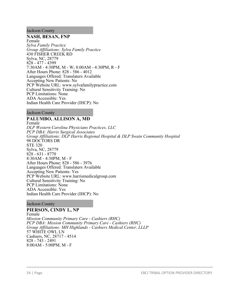Jackson County

### **NASH, BESAN, FNP**

Female *Sylva Family Practice Group Affiliations: Sylva Family Practice* 430 FISHER CREEK RD Sylva, NC, 28779 828 - 477 - 4399 7:30AM - 4:30PM, M - W; 8:00AM - 4:30PM, R - F After Hours Phone: 828 - 586 - 4012 Languages Offered: Translaters Available Accepting New Patients: No PCP Website URL: www.sylvafamilypractice.com Cultural Sensitivity Training: No PCP Limitations: None ADA Accessible: Yes Indian Health Care Provider (IHCP): No

Jackson County

## **PALUMBO, ALLISON A, MD**

Female *DLP Western Carolina Physicians Practices, LLC PCP DBA: Harris Surgical Associates Group Affiliations: DLP Harris Regional Hospital & DLP Swain Community Hospital* 98 DOCTORS DR STE 320 Sylva, NC, 28779 828 - 631 - 8770 8:30AM - 4:30PM, M - F After Hours Phone: 828 - 586 - 3976 Languages Offered: Translaters Available Accepting New Patients: Yes PCP Website URL: www.harrismedicalgroup.com Cultural Sensitivity Training: No PCP Limitations: None ADA Accessible: Yes Indian Health Care Provider (IHCP): No

Jackson County

# **PIERSON, CINDY L, NP**

Female *Mission Community Primary Care - Cashiers (RHC) PCP DBA: Mission Community Primary Care - Cashiers (RHC) Group Affiliations: MH Highlands - Cashiers Medical Center, LLLP* 57 WHITE OWL LN Cashiers, NC, 28717 - 4514 828 - 743 - 2491 8:00AM - 5:00PM, M - F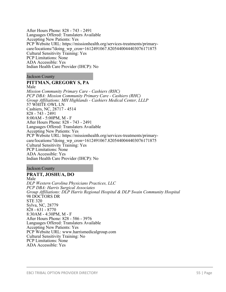After Hours Phone: 828 - 743 - 2491 Languages Offered: Translaters Available Accepting New Patients: Yes PCP Website URL: https://missionhealth.org/services-treatments/primarycare/locations/?doing\_wp\_cron=1612491067.8205440044403076171875 Cultural Sensitivity Training: Yes PCP Limitations: None ADA Accessible: Yes Indian Health Care Provider (IHCP): No

Jackson County

## **PITTMAN, GREGORY S, PA**

Male *Mission Community Primary Care - Cashiers (RHC) PCP DBA: Mission Community Primary Care - Cashiers (RHC) Group Affiliations: MH Highlands - Cashiers Medical Center, LLLP* 57 WHITE OWL LN Cashiers, NC, 28717 - 4514 828 - 743 - 2491 8:00AM - 5:00PM, M - F After Hours Phone: 828 - 743 - 2491 Languages Offered: Translaters Available Accepting New Patients: Yes PCP Website URL: https://missionhealth.org/services-treatments/primarycare/locations/?doing\_wp\_cron=1612491067.8205440044403076171875 Cultural Sensitivity Training: Yes PCP Limitations: None ADA Accessible: Yes Indian Health Care Provider (IHCP): No

Jackson County

## **PRATT, JOSHUA, DO**

Male *DLP Western Carolina Physicians Practices, LLC PCP DBA: Harris Surgical Associates Group Affiliations: DLP Harris Regional Hospital & DLP Swain Community Hospital* 98 DOCTORS DR STE 320 Sylva, NC, 28779 828 - 631 - 8770 8:30AM - 4:30PM, M - F After Hours Phone: 828 - 586 - 3976 Languages Offered: Translaters Available Accepting New Patients: Yes PCP Website URL: www.harrismedicalgroup.com Cultural Sensitivity Training: No PCP Limitations: None ADA Accessible: Yes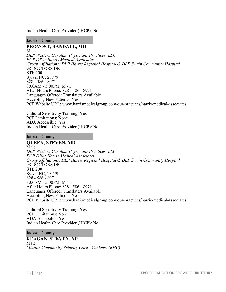Indian Health Care Provider (IHCP): No

Jackson County

# **PROVOST, RANDALL, MD**

Male *DLP Western Carolina Physicians Practices, LLC PCP DBA: Harris Medical Associates Group Affiliations: DLP Harris Regional Hospital & DLP Swain Community Hospital* 98 DOCTORS DR STE 200 Sylva, NC, 28779 828 - 586 - 8971 8:00AM - 5:00PM, M - F After Hours Phone: 828 - 586 - 8971 Languages Offered: Translaters Available Accepting New Patients: Yes PCP Website URL: www.harrismedicalgroup.com/our-practices/harris-medical-associates

Cultural Sensitivity Training: Yes PCP Limitations: None ADA Accessible: Yes Indian Health Care Provider (IHCP): No

Jackson County

## **QUEEN, STEVEN, MD**

Male *DLP Western Carolina Physicians Practices, LLC PCP DBA: Harris Medical Associates Group Affiliations: DLP Harris Regional Hospital & DLP Swain Community Hospital* 98 DOCTORS DR STE 200 Sylva, NC, 28779 828 - 586 - 8971 8:00AM - 5:00PM, M - F After Hours Phone: 828 - 586 - 8971 Languages Offered: Translaters Available Accepting New Patients: Yes PCP Website URL: www.harrismedicalgroup.com/our-practices/harris-medical-associates

Cultural Sensitivity Training: Yes PCP Limitations: None ADA Accessible: Yes Indian Health Care Provider (IHCP): No

Jackson County

## **REAGAN, STEVEN, NP** Male *Mission Community Primary Care - Cashiers (RHC)*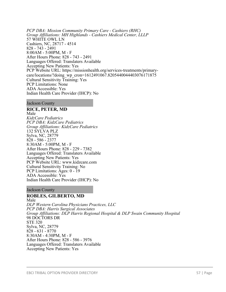*PCP DBA: Mission Community Primary Care - Cashiers (RHC) Group Affiliations: MH Highlands - Cashiers Medical Center, LLLP* 57 WHITE OWL LN Cashiers, NC, 28717 - 4514 828 - 743 - 2491 8:00AM - 5:00PM, M - F After Hours Phone: 828 - 743 - 2491 Languages Offered: Translaters Available Accepting New Patients: Yes PCP Website URL: https://missionhealth.org/services-treatments/primarycare/locations/?doing\_wp\_cron=1612491067.8205440044403076171875 Cultural Sensitivity Training: Yes PCP Limitations: None ADA Accessible: Yes Indian Health Care Provider (IHCP): No

### Jackson County

**RICE, PETER, MD** Male *KidzCare Pediatrics PCP DBA: KidzCare Pediatrics Group Affiliations: KidzCare Pediatrics* 132 SYLVA PLZ Sylva, NC, 28779 828 - 586 - 2377 8:30AM - 5:00PM, M - F After Hours Phone: 828 - 229 - 7382 Languages Offered: Translaters Available Accepting New Patients: Yes PCP Website URL: www.kidzcare.com Cultural Sensitivity Training: No PCP Limitations: Ages: 0 - 19 ADA Accessible: Yes Indian Health Care Provider (IHCP): No

### Jackson County

# **ROBLES, GILBERTO, MD**

Male *DLP Western Carolina Physicians Practices, LLC PCP DBA: Harris Surgical Associates Group Affiliations: DLP Harris Regional Hospital & DLP Swain Community Hospital* 98 DOCTORS DR STE 320 Sylva, NC, 28779 828 - 631 - 8770 8:30AM - 4:30PM, M - F After Hours Phone: 828 - 586 - 3976 Languages Offered: Translaters Available Accepting New Patients: Yes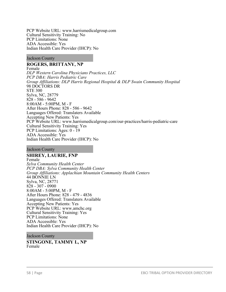PCP Website URL: www.harrismedicalgroup.com Cultural Sensitivity Training: No PCP Limitations: None ADA Accessible: Yes Indian Health Care Provider (IHCP): No

Jackson County

# **ROGERS, BRITTANY, NP**

Female *DLP Western Carolina Physicians Practices, LLC PCP DBA: Harris Pediatric Care Group Affiliations: DLP Harris Regional Hospital & DLP Swain Community Hospital* 98 DOCTORS DR STE 300 Sylva, NC, 28779 828 - 586 - 9642 8:00AM - 5:00PM, M - F After Hours Phone: 828 - 586 - 9642 Languages Offered: Translaters Available Accepting New Patients: Yes PCP Website URL: www.harrismedicalgroup.com/our-practices/harris-pediatric-care Cultural Sensitivity Training: Yes PCP Limitations: Ages: 0 - 19 ADA Accessible: Yes Indian Health Care Provider (IHCP): No

Jackson County

## **SHIREY, LAURIE, FNP**

Female *Sylva Community Health Center PCP DBA: Sylva Community Health Center Group Affiliations: Applachian Mountain Community Health Centers* 44 BONNIE LN Sylva, NC, 28771 828 - 307 - 0900 8:00AM - 5:00PM, M - F After Hours Phone: 828 - 479 - 4836 Languages Offered: Translaters Available Accepting New Patients: Yes PCP Website URL: www.amchc.org Cultural Sensitivity Training: Yes PCP Limitations: None ADA Accessible: Yes Indian Health Care Provider (IHCP): No

Jackson County

**STINGONE, TAMMY L, NP** Female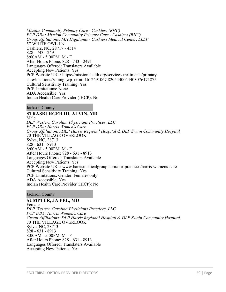*Mission Community Primary Care - Cashiers (RHC) PCP DBA: Mission Community Primary Care - Cashiers (RHC) Group Affiliations: MH Highlands - Cashiers Medical Center, LLLP* 57 WHITE OWL LN Cashiers, NC, 28717 - 4514 828 - 743 - 2491 8:00AM - 5:00PM, M - F After Hours Phone: 828 - 743 - 2491 Languages Offered: Translaters Available Accepting New Patients: Yes PCP Website URL: https://missionhealth.org/services-treatments/primarycare/locations/?doing\_wp\_cron=1612491067.8205440044403076171875 Cultural Sensitivity Training: Yes PCP Limitations: None ADA Accessible: Yes Indian Health Care Provider (IHCP): No

### Jackson County

## **STRASBURGER III, ALVIN, MD**

Male

*DLP Western Carolina Physicians Practices, LLC PCP DBA: Harris Women's Care Group Affiliations: DLP Harris Regional Hospital & DLP Swain Community Hospital* 70 THE VILLAGE OVERLOOK Sylva, NC, 28713 828 - 631 - 8913 8:00AM - 5:00PM, M - F After Hours Phone: 828 - 631 - 8913 Languages Offered: Translaters Available Accepting New Patients: Yes PCP Website URL: www.harrismedicalgroup.com/our-practices/harris-womens-care Cultural Sensitivity Training: Yes PCP Limitations: Gender: Females only ADA Accessible: Yes Indian Health Care Provider (IHCP): No

### Jackson County

## **SUMPTER, JA'PEL, MD**

Female *DLP Western Carolina Physicians Practices, LLC PCP DBA: Harris Women's Care Group Affiliations: DLP Harris Regional Hospital & DLP Swain Community Hospital* 70 THE VILLAGE OVERLOOK Sylva, NC, 28713 828 - 631 - 8913 8:00AM - 5:00PM, M - F After Hours Phone: 828 - 631 - 8913 Languages Offered: Translaters Available Accepting New Patients: Yes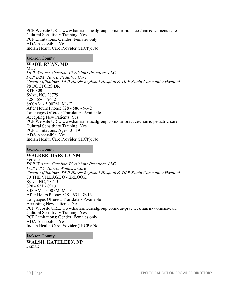PCP Website URL: www.harrismedicalgroup.com/our-practices/harris-womens-care Cultural Sensitivity Training: Yes PCP Limitations: Gender: Females only ADA Accessible: Yes Indian Health Care Provider (IHCP): No

### Jackson County

**WADE, RYAN, MD**

Male *DLP Western Carolina Physicians Practices, LLC PCP DBA: Harris Pediatric Care Group Affiliations: DLP Harris Regional Hospital & DLP Swain Community Hospital* 98 DOCTORS DR STE 300 Sylva, NC, 28779 828 - 586 - 9642 8:00AM - 5:00PM, M - F After Hours Phone: 828 - 586 - 9642 Languages Offered: Translaters Available Accepting New Patients: Yes PCP Website URL: www.harrismedicalgroup.com/our-practices/harris-pediatric-care Cultural Sensitivity Training: Yes PCP Limitations: Ages: 0 - 19 ADA Accessible: Yes Indian Health Care Provider (IHCP): No

Jackson County

## **WALKER, DARCI, CNM**

Female *DLP Western Carolina Physicians Practices, LLC PCP DBA: Harris Women's Care Group Affiliations: DLP Harris Regional Hospital & DLP Swain Community Hospital* 70 THE VILLAGE OVERLOOK Sylva, NC, 28713 828 - 631 - 8913 8:00AM - 5:00PM, M - F After Hours Phone: 828 - 631 - 8913 Languages Offered: Translaters Available Accepting New Patients: Yes PCP Website URL: www.harrismedicalgroup.com/our-practices/harris-womens-care Cultural Sensitivity Training: Yes PCP Limitations: Gender: Females only ADA Accessible: Yes Indian Health Care Provider (IHCP): No

Jackson County

**WALSH, KATHLEEN, NP** Female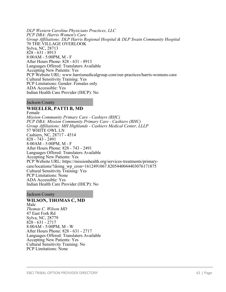*DLP Western Carolina Physicians Practices, LLC PCP DBA: Harris Women's Care Group Affiliations: DLP Harris Regional Hospital & DLP Swain Community Hospital* 70 THE VILLAGE OVERLOOK Sylva, NC, 28713 828 - 631 - 8913 8:00AM - 5:00PM, M - F After Hours Phone: 828 - 631 - 8913 Languages Offered: Translaters Available Accepting New Patients: Yes PCP Website URL: www.harrismedicalgroup.com/our-practices/harris-womens-care Cultural Sensitivity Training: Yes PCP Limitations: Gender: Females only ADA Accessible: Yes Indian Health Care Provider (IHCP): No

Jackson County

## **WHEELER, PATTI B, MD**

Female *Mission Community Primary Care - Cashiers (RHC) PCP DBA: Mission Community Primary Care - Cashiers (RHC) Group Affiliations: MH Highlands - Cashiers Medical Center, LLLP* 57 WHITE OWL LN Cashiers, NC, 28717 - 4514 828 - 743 - 2491 8:00AM - 5:00PM, M - F After Hours Phone: 828 - 743 - 2491 Languages Offered: Translaters Available Accepting New Patients: Yes PCP Website URL: https://missionhealth.org/services-treatments/primarycare/locations/?doing\_wp\_cron=1612491067.8205440044403076171875 Cultural Sensitivity Training: Yes PCP Limitations: None ADA Accessible: Yes Indian Health Care Provider (IHCP): No

Jackson County

#### **WILSON, THOMAS C, MD** Male *Thomas C. Wilson MD* 47 East Fork Rd

Sylva, NC, 28779 828 - 631 - 2717 8:00AM - 5:00PM, M - W After Hours Phone: 828 - 631 - 2717 Languages Offered: Translaters Available Accepting New Patients: Yes Cultural Sensitivity Training: No PCP Limitations: None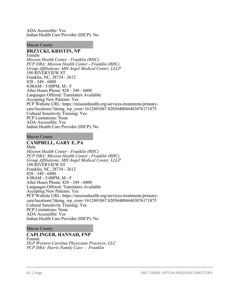ADA Accessible: Yes Indian Health Care Provider (IHCP): No

### Macon County

### **BRZYCKI, KRISTIN, NP**

Female *Mission Health Center - Franklin (RHC) PCP DBA: Mission Health Center - Franklin (RHC) Group Affiliations: MH Angel Medical Center, LLLP* 190 RIVERVIEW ST Franklin, NC, 28734 - 2612 828 - 349 - 6800 8:00AM - 5:00PM, M - F After Hours Phone: 828 - 349 - 6800 Languages Offered: Translaters Available Accepting New Patients: Yes PCP Website URL: https://missionhealth.org/services-treatments/primarycare/locations/?doing\_wp\_cron=1612491067.8205440044403076171875 Cultural Sensitivity Training: Yes PCP Limitations: None ADA Accessible: Yes Indian Health Care Provider (IHCP): No

### Macon County

# **CAMPBELL, GARY E, PA**

Male *Mission Health Center - Franklin (RHC) PCP DBA: Mission Health Center - Franklin (RHC) Group Affiliations: MH Angel Medical Center, LLLP* 190 RIVERVIEW ST Franklin, NC, 28734 - 2612 828 - 349 - 6800 8:00AM - 5:00PM, M - F After Hours Phone: 828 - 349 - 6800 Languages Offered: Translaters Available Accepting New Patients: Yes PCP Website URL: https://missionhealth.org/services-treatments/primarycare/locations/?doing\_wp\_cron=1612491067.8205440044403076171875 Cultural Sensitivity Training: Yes PCP Limitations: None ADA Accessible: Yes Indian Health Care Provider (IHCP): No

### Macon County

### **CAPLINGER, HANNAH, FNP**

Female *DLP Western Carolina Physicians Practices, LLC PCP DBA: Harris Family Care - Franklin*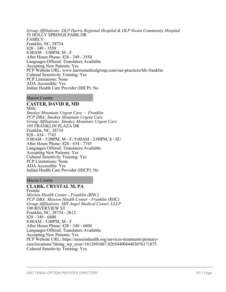*Group Affiliations: DLP Harris Regional Hospital & DLP Swain Community Hospital* 55 HOLLY SPRINGS PARK DR FAMILY Franklin, NC, 28734 828 - 349 - 3550 8:00AM - 5:00PM, M - F After Hours Phone: 828 - 349 - 3550 Languages Offered: Translaters Available Accepting New Patients: Yes PCP Website URL: www.harrismedicalgroup.com/our-practices/hfc-franklin Cultural Sensitivity Training: Yes PCP Limitations: None ADA Accessible: Yes Indian Health Care Provider (IHCP): No

### Macon County

# **CASTER, DAVID R, MD**

Male *Smokey Mountain Urgent Care - Franklin PCP DBA: Smokey Mountain Urgent Care Group Affiliations: Smokey Mountain Urgent Care* 195 FRANKLIN PLAZA DR Franklin, NC, 28734 828 - 634 - 7745 9:00AM - 5:00PM, M - F; 9:00AM - 2:00PM, S - SU After Hours Phone: 828 - 634 - 7745 Languages Offered: Translaters Available Accepting New Patients: Yes Cultural Sensitivity Training: Yes PCP Limitations: None ADA Accessible: Yes Indian Health Care Provider (IHCP): No

## Macon County

# **CLARK, CRYSTAL M, PA**

Female *Mission Health Center - Franklin (RHC) PCP DBA: Mission Health Center - Franklin (RHC) Group Affiliations: MH Angel Medical Center, LLLP* 190 RIVERVIEW ST Franklin, NC, 28734 - 2612 828 - 349 - 6800 8:00AM - 5:00PM, M - F After Hours Phone: 828 - 349 - 6800 Languages Offered: Translaters Available Accepting New Patients: Yes PCP Website URL: https://missionhealth.org/services-treatments/primarycare/locations/?doing\_wp\_cron=1612491067.8205440044403076171875 Cultural Sensitivity Training: Yes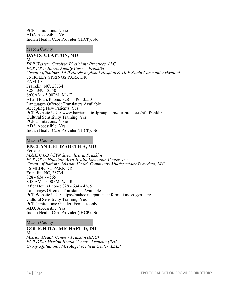PCP Limitations: None ADA Accessible: Yes Indian Health Care Provider (IHCP): No

### Macon County

# **DAVIS, CLAYTON, MD**

Male *DLP Western Carolina Physicians Practices, LLC PCP DBA: Harris Family Care - Franklin Group Affiliations: DLP Harris Regional Hospital & DLP Swain Community Hospital* 55 HOLLY SPRINGS PARK DR FAMILY Franklin, NC, 28734 828 - 349 - 3550 8:00AM - 5:00PM, M - F After Hours Phone: 828 - 349 - 3550 Languages Offered: Translaters Available Accepting New Patients: Yes PCP Website URL: www.harrismedicalgroup.com/our-practices/hfc-franklin Cultural Sensitivity Training: Yes PCP Limitations: None ADA Accessible: Yes Indian Health Care Provider (IHCP): No

Macon County

### **ENGLAND, ELIZABETH A, MD** Female

*MAHEC OB / GYN Specialists at Franklin PCP DBA: Mountain Area Health Education Center, Inc. Group Affiliations: Mission Health Community Multispecialty Providers, LLC* 56 MEDICAL PARK DR Franklin, NC, 28734 828 - 634 - 4565 8:00AM - 5:00PM, W - R After Hours Phone: 828 - 634 - 4565 Languages Offered: Translaters Available PCP Website URL: https://mahec.net/patient-information/ob-gyn-care Cultural Sensitivity Training: Yes PCP Limitations: Gender: Females only ADA Accessible: Yes Indian Health Care Provider (IHCP): No

## Macon County

# **GOLIGHTLY, MICHAEL D, DO**

Male *Mission Health Center - Franklin (RHC) PCP DBA: Mission Health Center - Franklin (RHC) Group Affiliations: MH Angel Medical Center, LLLP*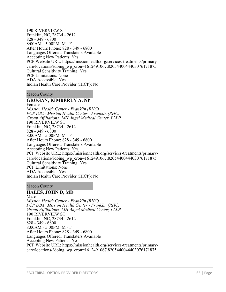190 RIVERVIEW ST Franklin, NC, 28734 - 2612 828 - 349 - 6800 8:00AM - 5:00PM, M - F After Hours Phone: 828 - 349 - 6800 Languages Offered: Translaters Available Accepting New Patients: Yes PCP Website URL: https://missionhealth.org/services-treatments/primarycare/locations/?doing\_wp\_cron=1612491067.8205440044403076171875 Cultural Sensitivity Training: Yes PCP Limitations: None ADA Accessible: Yes Indian Health Care Provider (IHCP): No

Macon County

## **GRUGAN, KIMBERLY A, NP**

Female *Mission Health Center - Franklin (RHC) PCP DBA: Mission Health Center - Franklin (RHC) Group Affiliations: MH Angel Medical Center, LLLP* 190 RIVERVIEW ST Franklin, NC, 28734 - 2612 828 - 349 - 6800 8:00AM - 5:00PM, M - F After Hours Phone: 828 - 349 - 6800 Languages Offered: Translaters Available Accepting New Patients: Yes PCP Website URL: https://missionhealth.org/services-treatments/primarycare/locations/?doing\_wp\_cron=1612491067.8205440044403076171875 Cultural Sensitivity Training: Yes PCP Limitations: None ADA Accessible: Yes Indian Health Care Provider (IHCP): No

Macon County

## **HALES, JOHN D, MD**

Male *Mission Health Center - Franklin (RHC) PCP DBA: Mission Health Center - Franklin (RHC) Group Affiliations: MH Angel Medical Center, LLLP* 190 RIVERVIEW ST Franklin, NC, 28734 - 2612 828 - 349 - 6800 8:00AM - 5:00PM, M - F After Hours Phone: 828 - 349 - 6800 Languages Offered: Translaters Available Accepting New Patients: Yes PCP Website URL: https://missionhealth.org/services-treatments/primarycare/locations/?doing\_wp\_cron=1612491067.8205440044403076171875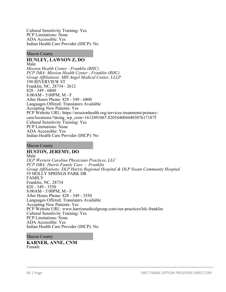Cultural Sensitivity Training: Yes PCP Limitations: None ADA Accessible: Yes Indian Health Care Provider (IHCP): No

Macon County

#### **HUNLEY, LAWSON Z, DO** Male

*Mission Health Center - Franklin (RHC) PCP DBA: Mission Health Center - Franklin (RHC) Group Affiliations: MH Angel Medical Center, LLLP* 190 RIVERVIEW ST Franklin, NC, 28734 - 2612 828 - 349 - 6800 8:00AM - 5:00PM, M - F After Hours Phone: 828 - 349 - 6800 Languages Offered: Translaters Available Accepting New Patients: Yes PCP Website URL: https://missionhealth.org/services-treatments/primarycare/locations/?doing\_wp\_cron=1612491067.8205440044403076171875 Cultural Sensitivity Training: Yes PCP Limitations: None ADA Accessible: Yes Indian Health Care Provider (IHCP): No

### Macon County

## **HUSTON, JEREMY, DO**

Male *DLP Western Carolina Physicians Practices, LLC PCP DBA: Harris Family Care - Franklin Group Affiliations: DLP Harris Regional Hospital & DLP Swain Community Hospital* 55 HOLLY SPRINGS PARK DR FAMILY Franklin, NC, 28734 828 - 349 - 3550 8:00AM - 5:00PM, M - F After Hours Phone: 828 - 349 - 3550 Languages Offered: Translaters Available Accepting New Patients: Yes PCP Website URL: www.harrismedicalgroup.com/our-practices/hfc-franklin Cultural Sensitivity Training: Yes PCP Limitations: None ADA Accessible: Yes Indian Health Care Provider (IHCP): No

Macon County

**KARNER, ANNE, CNM** Female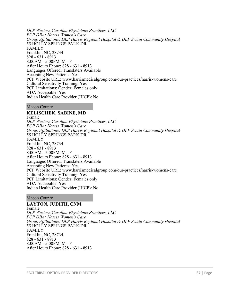*DLP Western Carolina Physicians Practices, LLC PCP DBA: Harris Women's Care Group Affiliations: DLP Harris Regional Hospital & DLP Swain Community Hospital* 55 HOLLY SPRINGS PARK DR FAMILY Franklin, NC, 28734 828 - 631 - 8913 8:00AM - 5:00PM, M - F After Hours Phone: 828 - 631 - 8913 Languages Offered: Translaters Available Accepting New Patients: Yes PCP Website URL: www.harrismedicalgroup.com/our-practices/harris-womens-care Cultural Sensitivity Training: Yes PCP Limitations: Gender: Females only ADA Accessible: Yes Indian Health Care Provider (IHCP): No

Macon County

## **KELISCHEK, SABINE, MD**

Female *DLP Western Carolina Physicians Practices, LLC PCP DBA: Harris Women's Care Group Affiliations: DLP Harris Regional Hospital & DLP Swain Community Hospital* 55 HOLLY SPRINGS PARK DR FAMILY Franklin, NC, 28734 828 - 631 - 8913 8:00AM - 5:00PM, M - F After Hours Phone: 828 - 631 - 8913 Languages Offered: Translaters Available Accepting New Patients: Yes PCP Website URL: www.harrismedicalgroup.com/our-practices/harris-womens-care Cultural Sensitivity Training: Yes PCP Limitations: Gender: Females only ADA Accessible: Yes Indian Health Care Provider (IHCP): No

Macon County

**LAYTON, JUDITH, CNM** Female *DLP Western Carolina Physicians Practices, LLC PCP DBA: Harris Women's Care Group Affiliations: DLP Harris Regional Hospital & DLP Swain Community Hospital* 55 HOLLY SPRINGS PARK DR FAMILY Franklin, NC, 28734 828 - 631 - 8913 8:00AM - 5:00PM, M - F After Hours Phone: 828 - 631 - 8913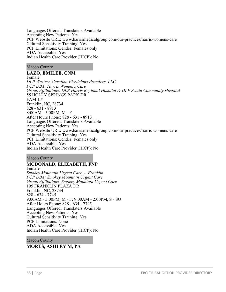Languages Offered: Translaters Available Accepting New Patients: Yes PCP Website URL: www.harrismedicalgroup.com/our-practices/harris-womens-care Cultural Sensitivity Training: Yes PCP Limitations: Gender: Females only ADA Accessible: Yes Indian Health Care Provider (IHCP): No

Macon County

## **LAZO, EMILEE, CNM**

Female *DLP Western Carolina Physicians Practices, LLC PCP DBA: Harris Women's Care Group Affiliations: DLP Harris Regional Hospital & DLP Swain Community Hospital* 55 HOLLY SPRINGS PARK DR FAMILY Franklin, NC, 28734 828 - 631 - 8913 8:00AM - 5:00PM, M - F After Hours Phone: 828 - 631 - 8913 Languages Offered: Translaters Available Accepting New Patients: Yes PCP Website URL: www.harrismedicalgroup.com/our-practices/harris-womens-care Cultural Sensitivity Training: Yes PCP Limitations: Gender: Females only ADA Accessible: Yes Indian Health Care Provider (IHCP): No

Macon County

# **MCDONALD, ELIZABETH, FNP**

Female *Smokey Mountain Urgent Care - Franklin PCP DBA: Smokey Mountain Urgent Care Group Affiliations: Smokey Mountain Urgent Care* 195 FRANKLIN PLAZA DR Franklin, NC, 28734 828 - 634 - 7745 9:00AM - 5:00PM, M - F; 9:00AM - 2:00PM, S - SU After Hours Phone: 828 - 634 - 7745 Languages Offered: Translaters Available Accepting New Patients: Yes Cultural Sensitivity Training: Yes PCP Limitations: None ADA Accessible: Yes Indian Health Care Provider (IHCP): No

Macon County

# **MORES, ASHLEY M, PA**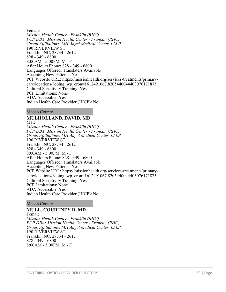Female *Mission Health Center - Franklin (RHC) PCP DBA: Mission Health Center - Franklin (RHC) Group Affiliations: MH Angel Medical Center, LLLP* 190 RIVERVIEW ST Franklin, NC, 28734 - 2612 828 - 349 - 6800 8:00AM - 5:00PM, M - F After Hours Phone: 828 - 349 - 6800 Languages Offered: Translaters Available Accepting New Patients: Yes PCP Website URL: https://missionhealth.org/services-treatments/primarycare/locations/?doing\_wp\_cron=1612491067.8205440044403076171875 Cultural Sensitivity Training: Yes PCP Limitations: None ADA Accessible: Yes Indian Health Care Provider (IHCP): No

Macon County

## **MULHOLLAND, DAVID, MD**

Male *Mission Health Center - Franklin (RHC) PCP DBA: Mission Health Center - Franklin (RHC) Group Affiliations: MH Angel Medical Center, LLLP* 190 RIVERVIEW ST Franklin, NC, 28734 - 2612 828 - 349 - 6800 8:00AM - 5:00PM, M - F After Hours Phone: 828 - 349 - 6800 Languages Offered: Translaters Available Accepting New Patients: Yes PCP Website URL: https://missionhealth.org/services-treatments/primarycare/locations/?doing\_wp\_cron=1612491067.8205440044403076171875 Cultural Sensitivity Training: Yes PCP Limitations: None ADA Accessible: Yes Indian Health Care Provider (IHCP): No

Macon County

# **MULL, COURTNEY D, MD**

Female *Mission Health Center - Franklin (RHC) PCP DBA: Mission Health Center - Franklin (RHC) Group Affiliations: MH Angel Medical Center, LLLP* 190 RIVERVIEW ST Franklin, NC, 28734 - 2612 828 - 349 - 6800 8:00AM - 5:00PM, M - F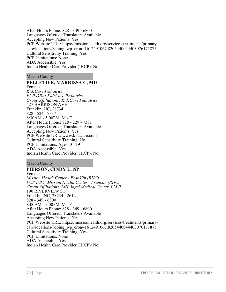After Hours Phone: 828 - 349 - 6800 Languages Offered: Translaters Available Accepting New Patients: Yes PCP Website URL: https://missionhealth.org/services-treatments/primarycare/locations/?doing\_wp\_cron=1612491067.8205440044403076171875 Cultural Sensitivity Training: Yes PCP Limitations: None ADA Accessible: Yes Indian Health Care Provider (IHCP): No

Macon County

## **PELLETIER, MARRISSA C, MD**

Female *KidzCare Pediatrics PCP DBA: KidzCare Pediatrics Group Affiliations: KidzCare Pediatrics* 427 HARRISON AVE Franklin, NC, 28734 828 - 524 - 7337 8:30AM - 5:00PM, M - F After Hours Phone: 828 - 229 - 7381 Languages Offered: Translaters Available Accepting New Patients: Yes PCP Website URL: www.kidzcare.com Cultural Sensitivity Training: No PCP Limitations: Ages: 0 - 19 ADA Accessible: Yes Indian Health Care Provider (IHCP): No

Macon County

### **PIERSON, CINDY L, NP** Female *Mission Health Center - Franklin (RHC) PCP DBA: Mission Health Center - Franklin (RHC) Group Affiliations: MH Angel Medical Center, LLLP* 190 RIVERVIEW ST Franklin, NC, 28734 - 2612 828 - 349 - 6800 8:00AM - 5:00PM, M - F After Hours Phone: 828 - 349 - 6800 Languages Offered: Translaters Available Accepting New Patients: Yes PCP Website URL: https://missionhealth.org/services-treatments/primarycare/locations/?doing\_wp\_cron=1612491067.8205440044403076171875 Cultural Sensitivity Training: Yes PCP Limitations: None ADA Accessible: Yes Indian Health Care Provider (IHCP): No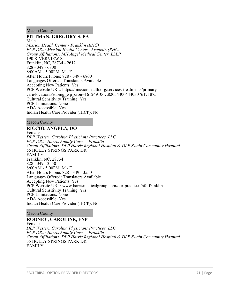### Macon County

## **PITTMAN, GREGORY S, PA**

Male *Mission Health Center - Franklin (RHC) PCP DBA: Mission Health Center - Franklin (RHC) Group Affiliations: MH Angel Medical Center, LLLP* 190 RIVERVIEW ST Franklin, NC, 28734 - 2612 828 - 349 - 6800 8:00AM - 5:00PM, M - F After Hours Phone: 828 - 349 - 6800 Languages Offered: Translaters Available Accepting New Patients: Yes PCP Website URL: https://missionhealth.org/services-treatments/primarycare/locations/?doing\_wp\_cron=1612491067.8205440044403076171875 Cultural Sensitivity Training: Yes PCP Limitations: None ADA Accessible: Yes Indian Health Care Provider (IHCP): No

### Macon County

## **RICCIO, ANGELA, DO**

Female *DLP Western Carolina Physicians Practices, LLC PCP DBA: Harris Family Care - Franklin Group Affiliations: DLP Harris Regional Hospital & DLP Swain Community Hospital* 55 HOLLY SPRINGS PARK DR FAMILY Franklin, NC, 28734 828 - 349 - 3550 8:00AM - 5:00PM, M - F After Hours Phone: 828 - 349 - 3550 Languages Offered: Translaters Available Accepting New Patients: Yes PCP Website URL: www.harrismedicalgroup.com/our-practices/hfc-franklin Cultural Sensitivity Training: Yes PCP Limitations: None ADA Accessible: Yes Indian Health Care Provider (IHCP): No

#### Macon County

## **ROONEY, CAROLINE, FNP**

Female *DLP Western Carolina Physicians Practices, LLC PCP DBA: Harris Family Care - Franklin Group Affiliations: DLP Harris Regional Hospital & DLP Swain Community Hospital* 55 HOLLY SPRINGS PARK DR FAMILY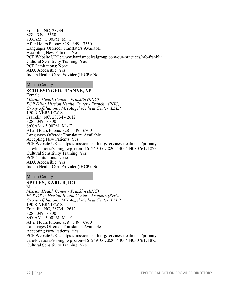Franklin, NC, 28734 828 - 349 - 3550 8:00AM - 5:00PM, M - F After Hours Phone: 828 - 349 - 3550 Languages Offered: Translaters Available Accepting New Patients: Yes PCP Website URL: www.harrismedicalgroup.com/our-practices/hfc-franklin Cultural Sensitivity Training: Yes PCP Limitations: None ADA Accessible: Yes Indian Health Care Provider (IHCP): No

Macon County

## **SCHLESINGER, JEANNE, NP**

Female *Mission Health Center - Franklin (RHC) PCP DBA: Mission Health Center - Franklin (RHC) Group Affiliations: MH Angel Medical Center, LLLP* 190 RIVERVIEW ST Franklin, NC, 28734 - 2612 828 - 349 - 6800 8:00AM - 5:00PM, M - F After Hours Phone: 828 - 349 - 6800 Languages Offered: Translaters Available Accepting New Patients: Yes PCP Website URL: https://missionhealth.org/services-treatments/primarycare/locations/?doing\_wp\_cron=1612491067.8205440044403076171875 Cultural Sensitivity Training: Yes PCP Limitations: None ADA Accessible: Yes Indian Health Care Provider (IHCP): No

### Macon County

# **SPEERS, KARL R, DO**

Male *Mission Health Center - Franklin (RHC) PCP DBA: Mission Health Center - Franklin (RHC) Group Affiliations: MH Angel Medical Center, LLLP* 190 RIVERVIEW ST Franklin, NC, 28734 - 2612 828 - 349 - 6800 8:00AM - 5:00PM, M - F After Hours Phone: 828 - 349 - 6800 Languages Offered: Translaters Available Accepting New Patients: Yes PCP Website URL: https://missionhealth.org/services-treatments/primarycare/locations/?doing\_wp\_cron=1612491067.8205440044403076171875 Cultural Sensitivity Training: Yes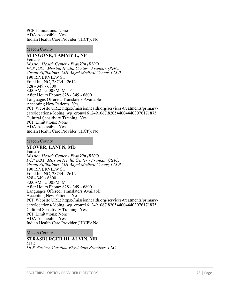PCP Limitations: None ADA Accessible: Yes Indian Health Care Provider (IHCP): No

#### Macon County

# **STINGONE, TAMMY L, NP**

Female *Mission Health Center - Franklin (RHC) PCP DBA: Mission Health Center - Franklin (RHC) Group Affiliations: MH Angel Medical Center, LLLP* 190 RIVERVIEW ST Franklin, NC, 28734 - 2612 828 - 349 - 6800 8:00AM - 5:00PM, M - F After Hours Phone: 828 - 349 - 6800 Languages Offered: Translaters Available Accepting New Patients: Yes PCP Website URL: https://missionhealth.org/services-treatments/primarycare/locations/?doing\_wp\_cron=1612491067.8205440044403076171875 Cultural Sensitivity Training: Yes PCP Limitations: None ADA Accessible: Yes Indian Health Care Provider (IHCP): No

#### Macon County

# **STOVER, LANI N, MD**

Female *Mission Health Center - Franklin (RHC) PCP DBA: Mission Health Center - Franklin (RHC) Group Affiliations: MH Angel Medical Center, LLLP* 190 RIVERVIEW ST Franklin, NC, 28734 - 2612 828 - 349 - 6800 8:00AM - 5:00PM, M - F After Hours Phone: 828 - 349 - 6800 Languages Offered: Translaters Available Accepting New Patients: Yes PCP Website URL: https://missionhealth.org/services-treatments/primarycare/locations/?doing\_wp\_cron=1612491067.8205440044403076171875 Cultural Sensitivity Training: Yes PCP Limitations: None ADA Accessible: Yes Indian Health Care Provider (IHCP): No

#### Macon County

### **STRASBURGER III, ALVIN, MD**

Male *DLP Western Carolina Physicians Practices, LLC*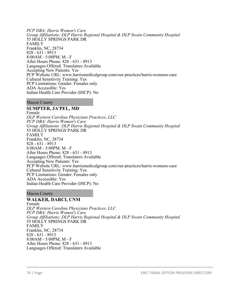*PCP DBA: Harris Women's Care Group Affiliations: DLP Harris Regional Hospital & DLP Swain Community Hospital* 55 HOLLY SPRINGS PARK DR FAMILY Franklin, NC, 28734 828 - 631 - 8913 8:00AM - 5:00PM, M - F After Hours Phone: 828 - 631 - 8913 Languages Offered: Translaters Available Accepting New Patients: Yes PCP Website URL: www.harrismedicalgroup.com/our-practices/harris-womens-care Cultural Sensitivity Training: Yes PCP Limitations: Gender: Females only ADA Accessible: Yes Indian Health Care Provider (IHCP): No

Macon County

**SUMPTER, JA'PEL, MD** Female *DLP Western Carolina Physicians Practices, LLC PCP DBA: Harris Women's Care Group Affiliations: DLP Harris Regional Hospital & DLP Swain Community Hospital* 55 HOLLY SPRINGS PARK DR FAMILY Franklin, NC, 28734 828 - 631 - 8913 8:00AM - 5:00PM, M - F After Hours Phone: 828 - 631 - 8913 Languages Offered: Translaters Available Accepting New Patients: Yes PCP Website URL: www.harrismedicalgroup.com/our-practices/harris-womens-care Cultural Sensitivity Training: Yes PCP Limitations: Gender: Females only ADA Accessible: Yes Indian Health Care Provider (IHCP): No

Macon County

# **WALKER, DARCI, CNM**

Female *DLP Western Carolina Physicians Practices, LLC PCP DBA: Harris Women's Care Group Affiliations: DLP Harris Regional Hospital & DLP Swain Community Hospital* 55 HOLLY SPRINGS PARK DR FAMILY Franklin, NC, 28734 828 - 631 - 8913 8:00AM - 5:00PM, M - F After Hours Phone: 828 - 631 - 8913 Languages Offered: Translaters Available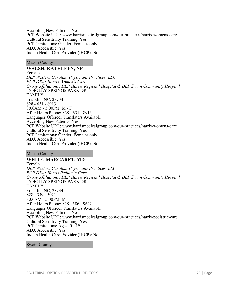Accepting New Patients: Yes PCP Website URL: www.harrismedicalgroup.com/our-practices/harris-womens-care Cultural Sensitivity Training: Yes PCP Limitations: Gender: Females only ADA Accessible: Yes Indian Health Care Provider (IHCP): No

### Macon County

### **WALSH, KATHLEEN, NP**

Female *DLP Western Carolina Physicians Practices, LLC PCP DBA: Harris Women's Care Group Affiliations: DLP Harris Regional Hospital & DLP Swain Community Hospital* 55 HOLLY SPRINGS PARK DR FAMILY Franklin, NC, 28734 828 - 631 - 8913 8:00AM - 5:00PM, M - F After Hours Phone: 828 - 631 - 8913 Languages Offered: Translaters Available Accepting New Patients: Yes PCP Website URL: www.harrismedicalgroup.com/our-practices/harris-womens-care Cultural Sensitivity Training: Yes PCP Limitations: Gender: Females only ADA Accessible: Yes Indian Health Care Provider (IHCP): No

Macon County

# **WHITE, MARGARET, MD**

Female *DLP Western Carolina Physicians Practices, LLC PCP DBA: Harris Pediatric Care Group Affiliations: DLP Harris Regional Hospital & DLP Swain Community Hospital* 55 HOLLY SPRINGS PARK DR FAMILY Franklin, NC, 28734 828 - 349 - 5021 8:00AM - 5:00PM, M - F After Hours Phone: 828 - 586 - 9642 Languages Offered: Translaters Available Accepting New Patients: Yes PCP Website URL: www.harrismedicalgroup.com/our-practices/harris-pediatric-care Cultural Sensitivity Training: Yes PCP Limitations: Ages: 0 - 19 ADA Accessible: Yes Indian Health Care Provider (IHCP): No

### Swain County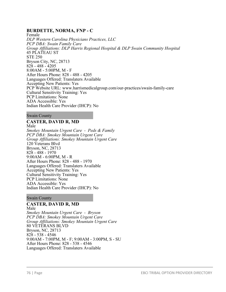# **BURDETTE, NORMA, FNP - C**

Female *DLP Western Carolina Physicians Practices, LLC PCP DBA: Swain Family Care Group Affiliations: DLP Harris Regional Hospital & DLP Swain Community Hospital* 45 PLATEAU ST STE 250 Bryson City, NC, 28713 828 - 488 - 4205 8:00AM - 5:00PM, M - F After Hours Phone: 828 - 488 - 4205 Languages Offered: Translaters Available Accepting New Patients: Yes PCP Website URL: www.harrismedicalgroup.com/our-practices/swain-family-care Cultural Sensitivity Training: Yes PCP Limitations: None ADA Accessible: Yes Indian Health Care Provider (IHCP): No

Swain County

# **CASTER, DAVID R, MD**

Male *Smokey Mountain Urgent Care - Peds & Family PCP DBA: Smokey Mountain Urgent Care Group Affiliations: Smokey Mountain Urgent Care* 120 Veterans Blvd Bryson, NC, 28713 828 - 488 - 1970 9:00AM - 6:00PM, M - R After Hours Phone: 828 - 488 - 1970 Languages Offered: Translaters Available Accepting New Patients: Yes Cultural Sensitivity Training: Yes PCP Limitations: None ADA Accessible: Yes Indian Health Care Provider (IHCP): No

Swain County

# **CASTER, DAVID R, MD**

Male *Smokey Mountain Urgent Care - Bryson PCP DBA: Smokey Mountain Urgent Care Group Affiliations: Smokey Mountain Urgent Care* 80 VETERANS BLVD Bryson, NC, 28713 828 - 538 - 4546 9:00AM - 7:00PM, M - F; 9:00AM - 3:00PM, S - SU After Hours Phone: 828 - 538 - 4546 Languages Offered: Translaters Available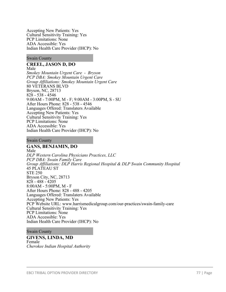Accepting New Patients: Yes Cultural Sensitivity Training: Yes PCP Limitations: None ADA Accessible: Yes Indian Health Care Provider (IHCP): No

### Swain County

#### **CREEL, JASON D, DO** Male

*Smokey Mountain Urgent Care - Bryson PCP DBA: Smokey Mountain Urgent Care Group Affiliations: Smokey Mountain Urgent Care* 80 VETERANS BLVD Bryson, NC, 28713 828 - 538 - 4546 9:00AM - 7:00PM, M - F; 9:00AM - 3:00PM, S - SU After Hours Phone: 828 - 538 - 4546 Languages Offered: Translaters Available Accepting New Patients: Yes Cultural Sensitivity Training: Yes PCP Limitations: None ADA Accessible: Yes Indian Health Care Provider (IHCP): No

#### Swain County

# **GANS, BENJAMIN, DO**

Male *DLP Western Carolina Physicians Practices, LLC PCP DBA: Swain Family Care Group Affiliations: DLP Harris Regional Hospital & DLP Swain Community Hospital* 45 PLATEAU ST STE 250 Bryson City, NC, 28713 828 - 488 - 4205 8:00AM - 5:00PM, M - F After Hours Phone: 828 - 488 - 4205 Languages Offered: Translaters Available Accepting New Patients: Yes PCP Website URL: www.harrismedicalgroup.com/our-practices/swain-family-care Cultural Sensitivity Training: Yes PCP Limitations: None ADA Accessible: Yes Indian Health Care Provider (IHCP): No

### Swain County

### **GIVENS, LINDA, MD** Female *Cherokee Indian Hospital Authority*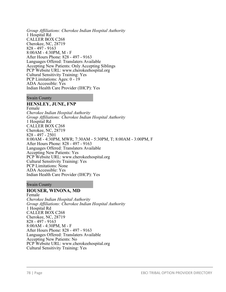*Group Affiliations: Cherokee Indian Hospital Authority* 1 Hospital Rd CALLER BOX C268 Cherokee, NC, 28719 828 - 497 - 9163 8:00AM - 4:30PM, M - F After Hours Phone: 828 - 497 - 9163 Languages Offered: Translaters Available Accepting New Patients: Only Accepting Siblings PCP Website URL: www.cherokeehospital.org Cultural Sensitivity Training: Yes PCP Limitations: Ages: 0 - 19 ADA Accessible: Yes Indian Health Care Provider (IHCP): Yes

### Swain County

# **HENSLEY, JUNE, FNP**

Female *Cherokee Indian Hospital Authority Group Affiliations: Cherokee Indian Hospital Authority* 1 Hospital Rd CALLER BOX C268 Cherokee, NC, 28719 828 - 497 - 2501 8:00AM - 4:30PM, MWR; 7:30AM - 5:30PM, T; 8:00AM - 3:00PM, F After Hours Phone: 828 - 497 - 9163 Languages Offered: Translaters Available Accepting New Patients: Yes PCP Website URL: www.cherokeehospital.org Cultural Sensitivity Training: Yes PCP Limitations: None ADA Accessible: Yes Indian Health Care Provider (IHCP): Yes

### Swain County

### **HOUSER, WINONA, MD**

Female *Cherokee Indian Hospital Authority Group Affiliations: Cherokee Indian Hospital Authority* 1 Hospital Rd CALLER BOX C268 Cherokee, NC, 28719 828 - 497 - 9163 8:00AM - 4:30PM, M - F After Hours Phone: 828 - 497 - 9163 Languages Offered: Translaters Available Accepting New Patients: No PCP Website URL: www.cherokeehospital.org Cultural Sensitivity Training: Yes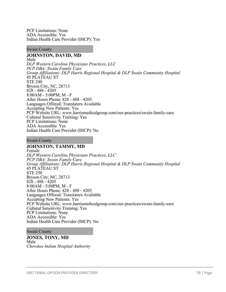PCP Limitations: None ADA Accessible: Yes Indian Health Care Provider (IHCP): Yes

### Swain County

# **JOHNSTON, DAVID, MD**

Male *DLP Western Carolina Physicians Practices, LLC PCP DBA: Swain Family Care Group Affiliations: DLP Harris Regional Hospital & DLP Swain Community Hospital* 45 PLATEAU ST STE 240 Bryson City, NC, 28713 828 - 488 - 4205 8:00AM - 5:00PM, M - F After Hours Phone: 828 - 488 - 4205 Languages Offered: Translaters Available Accepting New Patients: Yes PCP Website URL: www.harrismedicalgroup.com/our-practices/swain-family-care Cultural Sensitivity Training: Yes PCP Limitations: None ADA Accessible: Yes Indian Health Care Provider (IHCP): No

#### Swain County

# **JOHNSTON, TAMMY, MD**

Female *DLP Western Carolina Physicians Practices, LLC PCP DBA: Swain Family Care Group Affiliations: DLP Harris Regional Hospital & DLP Swain Community Hospital* 45 PLATEAU ST STE 250 Bryson City, NC, 28713 828 - 488 - 4205 8:00AM - 5:00PM, M - F After Hours Phone: 828 - 488 - 4205 Languages Offered: Translaters Available Accepting New Patients: Yes PCP Website URL: www.harrismedicalgroup.com/our-practices/swain-family-care Cultural Sensitivity Training: Yes PCP Limitations: None ADA Accessible: Yes Indian Health Care Provider (IHCP): No

### Swain County

### **JONES, TONY, MD** Male *Cherokee Indian Hospital Authority*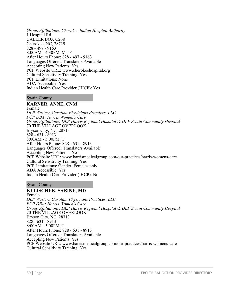*Group Affiliations: Cherokee Indian Hospital Authority* 1 Hospital Rd CALLER BOX C268 Cherokee, NC, 28719 828 - 497 - 9163 8:00AM - 4:30PM, M - F After Hours Phone: 828 - 497 - 9163 Languages Offered: Translaters Available Accepting New Patients: Yes PCP Website URL: www.cherokeehospital.org Cultural Sensitivity Training: Yes PCP Limitations: None ADA Accessible: Yes Indian Health Care Provider (IHCP): Yes

### Swain County

## **KARNER, ANNE, CNM**

Female *DLP Western Carolina Physicians Practices, LLC PCP DBA: Harris Women's Care Group Affiliations: DLP Harris Regional Hospital & DLP Swain Community Hospital* 70 THE VILLAGE OVERLOOK Bryson City, NC, 28713 828 - 631 - 8913 8:00AM - 5:00PM, T After Hours Phone: 828 - 631 - 8913 Languages Offered: Translaters Available Accepting New Patients: Yes PCP Website URL: www.harrismedicalgroup.com/our-practices/harris-womens-care Cultural Sensitivity Training: Yes PCP Limitations: Gender: Females only ADA Accessible: Yes Indian Health Care Provider (IHCP): No

### Swain County

### **KELISCHEK, SABINE, MD**

Female *DLP Western Carolina Physicians Practices, LLC PCP DBA: Harris Women's Care Group Affiliations: DLP Harris Regional Hospital & DLP Swain Community Hospital* 70 THE VILLAGE OVERLOOK Bryson City, NC, 28713 828 - 631 - 8913 8:00AM - 5:00PM, T After Hours Phone: 828 - 631 - 8913 Languages Offered: Translaters Available Accepting New Patients: Yes PCP Website URL: www.harrismedicalgroup.com/our-practices/harris-womens-care Cultural Sensitivity Training: Yes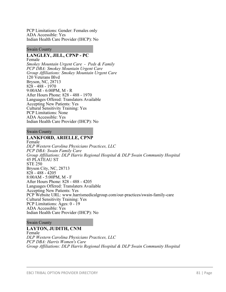PCP Limitations: Gender: Females only ADA Accessible: Yes Indian Health Care Provider (IHCP): No

#### Swain County

# **LANGLEY, JILL, CPNP - PC**

Female *Smokey Mountain Urgent Care - Peds & Family PCP DBA: Smokey Mountain Urgent Care Group Affiliations: Smokey Mountain Urgent Care* 120 Veterans Blvd Bryson, NC, 28713 828 - 488 - 1970 9:00AM - 6:00PM, M - R After Hours Phone: 828 - 488 - 1970 Languages Offered: Translaters Available Accepting New Patients: Yes Cultural Sensitivity Training: Yes PCP Limitations: None ADA Accessible: Yes Indian Health Care Provider (IHCP): No

### Swain County

### **LANKFORD, ARIELLE, CPNP**

Female *DLP Western Carolina Physicians Practices, LLC PCP DBA: Swain Family Care Group Affiliations: DLP Harris Regional Hospital & DLP Swain Community Hospital* 45 PLATEAU ST STE 250 Bryson City, NC, 28713 828 - 488 - 4205 8:00AM - 5:00PM, M - F After Hours Phone: 828 - 488 - 4205 Languages Offered: Translaters Available Accepting New Patients: Yes PCP Website URL: www.harrismedicalgroup.com/our-practices/swain-family-care Cultural Sensitivity Training: Yes PCP Limitations: Ages: 0 - 19 ADA Accessible: Yes Indian Health Care Provider (IHCP): No

### Swain County

### **LAYTON, JUDITH, CNM**

Female *DLP Western Carolina Physicians Practices, LLC PCP DBA: Harris Women's Care Group Affiliations: DLP Harris Regional Hospital & DLP Swain Community Hospital*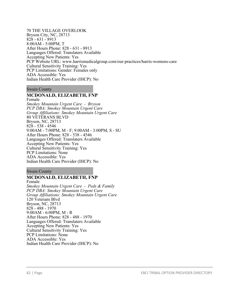70 THE VILLAGE OVERLOOK Bryson City, NC, 28713 828 - 631 - 8913 8:00AM - 5:00PM, T After Hours Phone: 828 - 631 - 8913 Languages Offered: Translaters Available Accepting New Patients: Yes PCP Website URL: www.harrismedicalgroup.com/our-practices/harris-womens-care Cultural Sensitivity Training: Yes PCP Limitations: Gender: Females only ADA Accessible: Yes Indian Health Care Provider (IHCP): No

### Swain County

# **MCDONALD, ELIZABETH, FNP**

Female *Smokey Mountain Urgent Care - Bryson PCP DBA: Smokey Mountain Urgent Care Group Affiliations: Smokey Mountain Urgent Care* 80 VETERANS BLVD Bryson, NC, 28713 828 - 538 - 4546 9:00AM - 7:00PM, M - F; 9:00AM - 3:00PM, S - SU After Hours Phone: 828 - 538 - 4546 Languages Offered: Translaters Available Accepting New Patients: Yes Cultural Sensitivity Training: Yes PCP Limitations: None ADA Accessible: Yes Indian Health Care Provider (IHCP): No

### Swain County

# **MCDONALD, ELIZABETH, FNP**

Female *Smokey Mountain Urgent Care - Peds & Family PCP DBA: Smokey Mountain Urgent Care Group Affiliations: Smokey Mountain Urgent Care* 120 Veterans Blvd Bryson, NC, 28713 828 - 488 - 1970 9:00AM - 6:00PM, M - R After Hours Phone: 828 - 488 - 1970 Languages Offered: Translaters Available Accepting New Patients: Yes Cultural Sensitivity Training: Yes PCP Limitations: None ADA Accessible: Yes Indian Health Care Provider (IHCP): No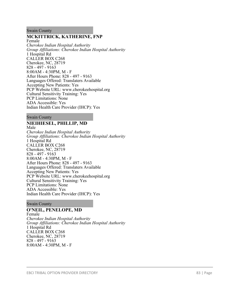#### Swain County

### **MCKITTRICK, KATHERINE, FNP**

Female *Cherokee Indian Hospital Authority Group Affiliations: Cherokee Indian Hospital Authority* 1 Hospital Rd CALLER BOX C268 Cherokee, NC, 28719 828 - 497 - 9163 8:00AM - 4:30PM, M - F After Hours Phone: 828 - 497 - 9163 Languages Offered: Translaters Available Accepting New Patients: Yes PCP Website URL: www.cherokeehospital.org Cultural Sensitivity Training: Yes PCP Limitations: None ADA Accessible: Yes Indian Health Care Provider (IHCP): Yes

Swain County

# **NIEIHIESEL, PHILLIP, MD**

Male *Cherokee Indian Hospital Authority Group Affiliations: Cherokee Indian Hospital Authority* 1 Hospital Rd CALLER BOX C268 Cherokee, NC, 28719 828 - 497 - 9163 8:00AM - 4:30PM, M - F After Hours Phone: 828 - 497 - 9163 Languages Offered: Translaters Available Accepting New Patients: Yes PCP Website URL: www.cherokeehospital.org Cultural Sensitivity Training: Yes PCP Limitations: None ADA Accessible: Yes Indian Health Care Provider (IHCP): Yes

Swain County

# **O'NEIL, PENELOPE, MD**

Female *Cherokee Indian Hospital Authority Group Affiliations: Cherokee Indian Hospital Authority* 1 Hospital Rd CALLER BOX C268 Cherokee, NC, 28719 828 - 497 - 9163 8:00AM - 4:30PM, M - F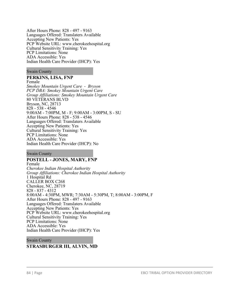After Hours Phone: 828 - 497 - 9163 Languages Offered: Translaters Available Accepting New Patients: Yes PCP Website URL: www.cherokeehospital.org Cultural Sensitivity Training: Yes PCP Limitations: None ADA Accessible: Yes Indian Health Care Provider (IHCP): Yes

### Swain County

### **PERKINS, LISA, FNP**

Female *Smokey Mountain Urgent Care - Bryson PCP DBA: Smokey Mountain Urgent Care Group Affiliations: Smokey Mountain Urgent Care* 80 VETERANS BLVD Bryson, NC, 28713 828 - 538 - 4546 9:00AM - 7:00PM, M - F; 9:00AM - 3:00PM, S - SU After Hours Phone: 828 - 538 - 4546 Languages Offered: Translaters Available Accepting New Patients: Yes Cultural Sensitivity Training: Yes PCP Limitations: None ADA Accessible: Yes Indian Health Care Provider (IHCP): No

Swain County

### **POSTELL - JONES, MARY, FNP**

Female *Cherokee Indian Hospital Authority Group Affiliations: Cherokee Indian Hospital Authority* 1 Hospital Rd CALLER BOX C268 Cherokee, NC, 28719 828 - 837 - 4312 8:00AM - 4:30PM, MWR; 7:30AM - 5:30PM, T; 8:00AM - 3:00PM, F After Hours Phone: 828 - 497 - 9163 Languages Offered: Translaters Available Accepting New Patients: Yes PCP Website URL: www.cherokeehospital.org Cultural Sensitivity Training: Yes PCP Limitations: None ADA Accessible: Yes Indian Health Care Provider (IHCP): Yes

Swain County

### **STRASBURGER III, ALVIN, MD**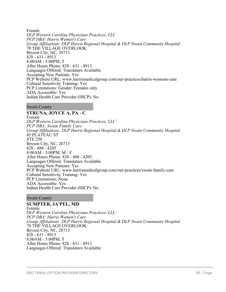Female *DLP Western Carolina Physicians Practices, LLC PCP DBA: Harris Women's Care Group Affiliations: DLP Harris Regional Hospital & DLP Swain Community Hospital* 70 THE VILLAGE OVERLOOK Bryson City, NC, 28713 828 - 631 - 8913 8:00AM - 5:00PM, T After Hours Phone: 828 - 631 - 8913 Languages Offered: Translaters Available Accepting New Patients: Yes PCP Website URL: www.harrismedicalgroup.com/our-practices/harris-womens-care Cultural Sensitivity Training: Yes PCP Limitations: Gender: Females only ADA Accessible: Yes Indian Health Care Provider (IHCP): No

Swain County

# **STRUNA, JOYCE A, PA - C**

Female *DLP Western Carolina Physicians Practices, LLC PCP DBA: Swain Family Care Group Affiliations: DLP Harris Regional Hospital & DLP Swain Community Hospital* 45 PLATEAU ST STE 250 Bryson City, NC, 28713 828 - 488 - 4205 8:00AM - 5:00PM, M - F After Hours Phone: 828 - 488 - 4205 Languages Offered: Translaters Available Accepting New Patients: Yes PCP Website URL: www.harrismedicalgroup.com/our-practices/swain-family-care Cultural Sensitivity Training: Yes PCP Limitations: None ADA Accessible: Yes Indian Health Care Provider (IHCP): No

### Swain County

**SUMPTER, JA'PEL, MD** Female *DLP Western Carolina Physicians Practices, LLC PCP DBA: Harris Women's Care Group Affiliations: DLP Harris Regional Hospital & DLP Swain Community Hospital* 70 THE VILLAGE OVERLOOK Bryson City, NC, 28713 828 - 631 - 8913 8:00AM - 5:00PM, T After Hours Phone: 828 - 631 - 8913 Languages Offered: Translaters Available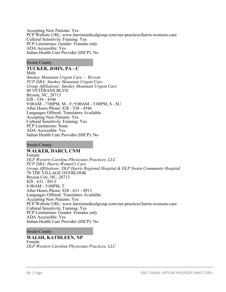Accepting New Patients: Yes PCP Website URL: www.harrismedicalgroup.com/our-practices/harris-womens-care Cultural Sensitivity Training: Yes PCP Limitations: Gender: Females only ADA Accessible: Yes Indian Health Care Provider (IHCP): No

### Swain County

### **TUCKER, JOHN, PA - C**

Male *Smokey Mountain Urgent Care - Bryson PCP DBA: Smokey Mountain Urgent Care Group Affiliations: Smokey Mountain Urgent Care* 80 VETERANS BLVD Bryson, NC, 28713 828 - 538 - 4546 9:00AM - 7:00PM, M - F; 9:00AM - 3:00PM, S - SU After Hours Phone: 828 - 538 - 4546 Languages Offered: Translaters Available Accepting New Patients: Yes Cultural Sensitivity Training: Yes PCP Limitations: None ADA Accessible: Yes Indian Health Care Provider (IHCP): No

### Swain County

### **WALKER, DARCI, CNM**

Female *DLP Western Carolina Physicians Practices, LLC PCP DBA: Harris Women's Care Group Affiliations: DLP Harris Regional Hospital & DLP Swain Community Hospital* 70 THE VILLAGE OVERLOOK Bryson City, NC, 28713 828 - 631 - 8913 8:00AM - 5:00PM, T After Hours Phone: 828 - 631 - 8913 Languages Offered: Translaters Available Accepting New Patients: Yes PCP Website URL: www.harrismedicalgroup.com/our-practices/harris-womens-care Cultural Sensitivity Training: Yes PCP Limitations: Gender: Females only ADA Accessible: Yes Indian Health Care Provider (IHCP): No

### Swain County

#### **WALSH, KATHLEEN, NP** Female *DLP Western Carolina Physicians Practices, LLC*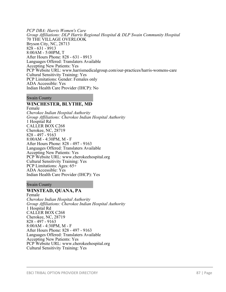*PCP DBA: Harris Women's Care Group Affiliations: DLP Harris Regional Hospital & DLP Swain Community Hospital* 70 THE VILLAGE OVERLOOK Bryson City, NC, 28713 828 - 631 - 8913 8:00AM - 5:00PM, T After Hours Phone: 828 - 631 - 8913 Languages Offered: Translaters Available Accepting New Patients: Yes PCP Website URL: www.harrismedicalgroup.com/our-practices/harris-womens-care Cultural Sensitivity Training: Yes PCP Limitations: Gender: Females only ADA Accessible: Yes Indian Health Care Provider (IHCP): No

#### Swain County

### **WINCHESTER, BLYTHE, MD**

Female *Cherokee Indian Hospital Authority Group Affiliations: Cherokee Indian Hospital Authority* 1 Hospital Rd CALLER BOX C268 Cherokee, NC, 28719 828 - 497 - 9163 8:00AM - 4:30PM, M - F After Hours Phone: 828 - 497 - 9163 Languages Offered: Translaters Available Accepting New Patients: Yes PCP Website URL: www.cherokeehospital.org Cultural Sensitivity Training: Yes PCP Limitations: Ages: 65+ ADA Accessible: Yes Indian Health Care Provider (IHCP): Yes

### Swain County

# **WINSTEAD, QUANA, PA**

Female *Cherokee Indian Hospital Authority Group Affiliations: Cherokee Indian Hospital Authority* 1 Hospital Rd CALLER BOX C268 Cherokee, NC, 28719 828 - 497 - 9163 8:00AM - 4:30PM, M - F After Hours Phone: 828 - 497 - 9163 Languages Offered: Translaters Available Accepting New Patients: Yes PCP Website URL: www.cherokeehospital.org Cultural Sensitivity Training: Yes